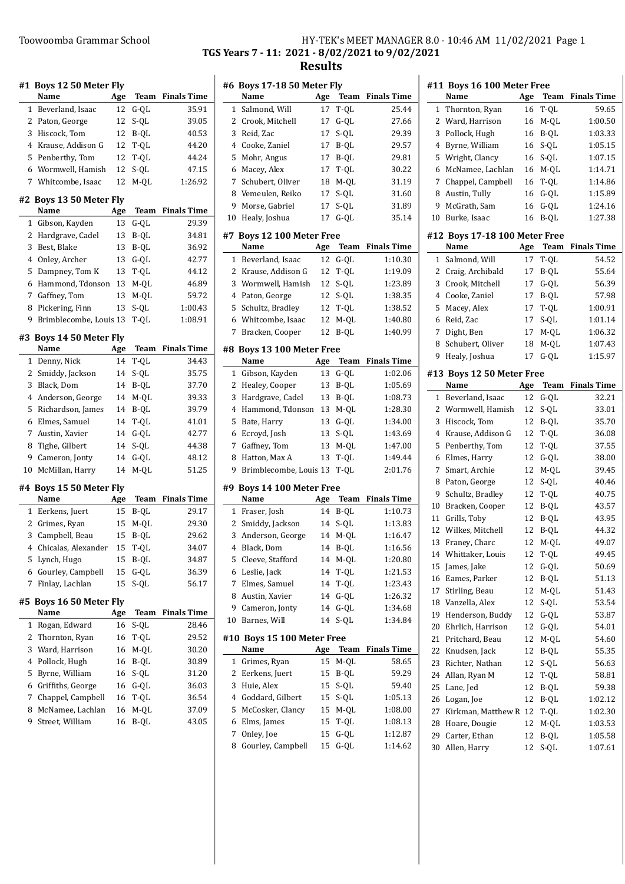#### #1 Boys 12 50 Meter Fly Name Age Team Finals Time 1 35.91 Beverland, Isaac 12 G-QL 2 39.05 Paton, George 12 S-QL 3 40.53 Hiscock, Tom 12 B-QL 4 44.20 Krause, Addison G 12 T-QL 5 44.24 Penberthy, Tom 12 T-QL 6 47.15 Wormwell, Hamish 12 S-QL 7 Whitcombe, Isaac 12 M-QL 1:26.92 #2 Boys 13 50 Meter Fly Name Age Team Finals Time 1 29.39 Gibson, Kayden 13 G-QL 2 Hardgrave, Cadel 13 B-QL 34.81 3 36.92 Best, Blake 13 B-QL 4 42.77 Onley, Archer 13 G-QL 5 44.12 Dampney, Tom K 13 T-QL 6 46.89 Hammond, Tdonson 13 M-QL 7 59.72 Gaffney, Tom 13 M-QL 8 1:00.43 Pickering, Finn 13 S-QL 9 Brimblecombe, Louis 13 T-QL 1:08.91 #3 Boys 14 50 Meter Fly Name Age Team Finals Time 1 34.43 Denny, Nick 14 T-QL 2 35.75 Smiddy, Jackson 14 S-QL 3 37.70 Black, Dom 14 B-QL 4 39.33 Anderson, George 14 M-QL 5 39.79 Richardson, James 14 B-QL 6 41.01 Elmes, Samuel 14 T-QL 7 42.77 Austin, Xavier 14 G-QL 8 44.38 Tighe, Gilbert 14 S-QL 9 Cameron, Jonty 14 G-QL 48.12 10 McMillan, Harry 14 M-QL 51.25 #4 Boys 15 50 Meter Fly Name Age Team Finals Time 1 29.17 Eerkens, Juert 15 B-QL 2 Grimes, Ryan 15 M-QL 29.30 3 29.62 Campbell, Beau 15 B-QL 4 34.07 Chicalas, Alexander 15 T-QL 5 34.87 Lynch, Hugo 15 B-QL 6 36.39 Gourley, Campbell 15 G-QL 7 56.17 Finlay, Lachlan 15 S-QL #5 Boys 16 50 Meter Fly Name Age Team Finals Time 1 28.46 Rogan, Edward 16 S-QL 2 Thornton, Ryan 16 T-QL 29.52 3 30.20 Ward, Harrison 16 M-QL 4 30.89 Pollock, Hugh 16 B-QL 5 31.20 Byrne, William 16 S-QL 6 Griffiths, George 16 G-QL 36.03 7 36.54 Chappel, Campbell 16 T-QL 8 McNamee, Lachlan 16 M-QL 37.09 9 43.05 Street, William 16 B-QL

### Toowoomba Grammar School The HY-TEK's MEET MANAGER 8.0 - 10:46 AM 11/02/2021 Page 1 TGS Years 7 - 11: 2021 - 8/02/2021 to 9/02/2021 Results

|    | #6 Boys 17-18 50 Meter Fly    |     |             |                    |
|----|-------------------------------|-----|-------------|--------------------|
|    | Name                          | Age | <b>Team</b> | <b>Finals Time</b> |
| 1  | Salmond, Will                 | 17  | T-QL        | 25.44              |
| 2  | Crook, Mitchell               | 17  | $G-QL$      | 27.66              |
| 3  | Reid, Zac                     | 17  | S-QL        | 29.39              |
| 4  | Cooke, Zaniel                 | 17  | B-QL        | 29.57              |
| 5  | Mohr, Angus                   | 17  | B-QL        | 29.81              |
| 6  | Macey, Alex                   | 17  | T-QL        | 30.22              |
| 7  | Schubert, Oliver              | 18  | M-QL        | 31.19              |
| 8  | Vemeulen, Reiko               | 17  | S-QL        | 31.60              |
| 9  | Morse, Gabriel                | 17  | S-QL        | 31.89              |
| 10 | Healy, Joshua                 | 17  | G-QL        | 35.14              |
|    |                               |     |             |                    |
| #7 | <b>Boys 12 100 Meter Free</b> |     |             |                    |
|    | Name                          | Age | Team        | <b>Finals Time</b> |
| 1  | Beverland, Isaac              | 12  | $G-QL$      | 1:10.30            |
| 2  | Krause, Addison G             | 12  | T-QL        | 1:19.09            |
| 3  | Wormwell, Hamish              | 12  | S-QL        | 1:23.89            |
| 4  | Paton, George                 | 12  | S-QL        | 1:38.35            |
| 5  | Schultz, Bradley              | 12  | T-QL        | 1:38.52            |
| 6  | Whitcombe, Isaac              | 12  | $M-QL$      | 1:40.80            |
| 7  | Bracken, Cooper               | 12  | B-QL        | 1:40.99            |
|    | #8 Boys 13 100 Meter Free     |     |             |                    |
|    | Name                          | Age | Team        | <b>Finals Time</b> |
| 1  | Gibson, Kayden                | 13  | $G-QL$      | 1:02.06            |
| 2  | Healey, Cooper                | 13  | B-QL        | 1:05.69            |
| 3  | Hardgrave, Cadel              | 13  | B-QL        | 1:08.73            |
| 4  | Hammond, Tdonson              | 13  | M-QL        | 1:28.30            |
| 5  | Bate, Harry                   | 13  | $G-QL$      | 1:34.00            |
| 6  | Ecroyd, Josh                  | 13  | S-QL        | 1:43.69            |
| 7  | Gaffney, Tom                  | 13  | $M-QL$      | 1:47.00            |
| 8  | Hatton, Max A                 | 13  | T-QL        | 1:49.44            |
| 9  | Brimblecombe, Louis 13        |     | T-QL        | 2:01.76            |
|    |                               |     |             |                    |
|    | #9 Boys 14 100 Meter Free     |     |             |                    |
|    | Name                          | Age | Team        | <b>Finals Time</b> |
| 1  | Fraser, Josh                  | 14  | B-QL        | 1:10.73            |
| 2  | Smiddy, Jackson               | 14  | S-QL        | 1:13.83            |
| 3  | Anderson, George              | 14  | M-QL        | 1:16.47            |
|    | 4 Black, Dom                  | 14  | B-QL        | 1:16.56            |
| 5  | Cleeve, Stafford              | 14  | M-QL        | 1:20.80            |
| 6  | Leslie, Jack                  | 14  | T-QL        | 1:21.53            |
| 7  | Elmes, Samuel                 | 14  | $T-QL$      | 1:23.43            |
| 8  | Austin, Xavier                | 14  | $G-QL$      | 1:26.32            |
| 9  | Cameron, Jonty                | 14  | G-QL        | 1:34.68            |
| 10 | Barnes, Will                  | 14  | S-QL        | 1:34.84            |
|    | #10 Boys 15 100 Meter Free    |     |             |                    |
|    | Name                          | Age | Team        | <b>Finals Time</b> |
| 1  | Grimes, Ryan                  | 15  | M-QL        | 58.65              |
| 2  | Eerkens, Juert                | 15  | B-QL        | 59.29              |
| 3  | Huie, Alex                    | 15  | S-QL        | 59.40              |
| 4  | Goddard, Gilbert              | 15  | S-QL        | 1:05.13            |
| 5  | McCosker, Clancy              | 15  | M-QL        | 1:08.00            |
| 6  | Elms, James                   | 15  | T-QL        | 1:08.13            |
| 7  | Onley, Joe                    | 15  | G-QL        | 1:12.87            |
| 8  | Gourley, Campbell             | 15  | $G-QL$      | 1:14.62            |
|    |                               |     |             |                    |

|              | #11 Boys 16 100 Meter Free    |     |             |                    |
|--------------|-------------------------------|-----|-------------|--------------------|
|              | Name                          | Age | Team        | <b>Finals Time</b> |
| 1            | Thornton, Ryan                | 16  | T-QL        | 59.65              |
| 2            | Ward, Harrison                | 16  | M-QL        | 1:00.50            |
| 3            | Pollock, Hugh                 | 16  | B-QL        | 1:03.33            |
| 4            | Byrne, William                | 16  | S-QL        | 1:05.15            |
| 5            | Wright, Clancy                | 16  | S-QL        | 1:07.15            |
| 6            | McNamee, Lachlan              | 16  | M-QL        | 1:14.71            |
| 7            | Chappel, Campbell             | 16  | T-QL        | 1:14.86            |
| 8            | Austin, Tully                 | 16  | $G-QL$      | 1:15.89            |
| 9            | McGrath, Sam                  | 16  | $G-QL$      | 1:24.16            |
| 10           | Burke, Isaac                  | 16  | B-QL        | 1:27.38            |
|              | #12 Boys 17-18 100 Meter Free |     |             |                    |
|              | Name                          | Age | <b>Team</b> | <b>Finals Time</b> |
| 1            | Salmond, Will                 | 17  | T-QL        | 54.52              |
| 2            | Craig, Archibald              | 17  | B-QL        | 55.64              |
| 3            | Crook, Mitchell               | 17  | $G-QL$      | 56.39              |
| 4            | Cooke, Zaniel                 | 17  | B-QL        | 57.98              |
|              |                               |     |             |                    |
| 5            | Macey, Alex                   | 17  | T-QL        | 1:00.91            |
| 6            | Reid, Zac                     | 17  | $S-OL$      | 1:01.14            |
| 7            | Dight, Ben                    | 17  | M-QL        | 1:06.32            |
| 8            | Schubert, Oliver              | 18  | M-QL        | 1:07.43            |
| 9            | Healy, Joshua                 | 17  | $G-QL$      | 1:15.97            |
|              | #13 Boys 12 50 Meter Free     |     |             |                    |
|              | Name                          | Age | Team        | <b>Finals Time</b> |
| $\mathbf{1}$ | Beverland, Isaac              | 12  | G-QL        | 32.21              |
| 2            | Wormwell, Hamish              | 12  | S-QL        | 33.01              |
| 3            | Hiscock, Tom                  | 12  | B-QL        | 35.70              |
| 4            | Krause, Addison G             | 12  | T-QL        | 36.08              |
| 5            | Penberthy, Tom                | 12  | T-QL        | 37.55              |
| 6            | Elmes, Harry                  | 12  | $G-QL$      | 38.00              |
| 7            | Smart, Archie                 | 12  | M-QL        | 39.45              |
| 8            | Paton, George                 | 12  | $S-QL$      | 40.46              |
| 9            | Schultz, Bradley              | 12  | $T-OL$      | 40.75              |
| 10           | Bracken, Cooper               | 12  | B-QL        | 43.57              |
| 11           | Grills, Toby                  | 12  | B-QL        | 43.95              |
| 12           | Wilkes, Mitchell              | 12  | $B-QL$      | 44.32              |
| 13           | Franey, Charc                 | 12  | M-QL        | 49.07              |
| 14           | Whittaker, Louis              | 12  | T-QL        | 49.45              |
| 15           | James, Jake                   | 12  | $G-QL$      | 50.69              |
| 16           | Eames, Parker                 | 12  | B-QL        | 51.13              |
| 17           | Stirling, Beau                | 12  | M-QL        | 51.43              |
| 18           | Vanzella, Alex                | 12  | S-QL        | 53.54              |
| 19           | Henderson, Buddy              | 12  | $G-QL$      | 53.87              |
| 20           | Ehrlich, Harrison             | 12  | $G-QL$      | 54.01              |
| 21           | Pritchard, Beau               | 12  | M-QL        | 54.60              |
| 22           | Knudsen, Jack                 | 12  | B-QL        | 55.35              |
| 23           | Richter, Nathan               | 12  | S-QL        | 56.63              |
| 24           | Allan, Ryan M                 | 12  | T-QL        | 58.81              |
| 25           | Lane, Jed                     |     |             |                    |
|              |                               | 12  | B-QL        | 59.38              |
| 26           | Logan, Joe                    | 12  | B-QL        | 1:02.12            |
| 27           | Kirkman, Matthew R            | 12  | T-QL        | 1:02.30            |
| 28           | Hoare, Dougie                 | 12  | M-QL        | 1:03.53            |
| 29           | Carter, Ethan                 | 12  | B-QL        | 1:05.58            |
| 30           | Allen. Harrv                  | 12  | S-OL        | 1:07.61            |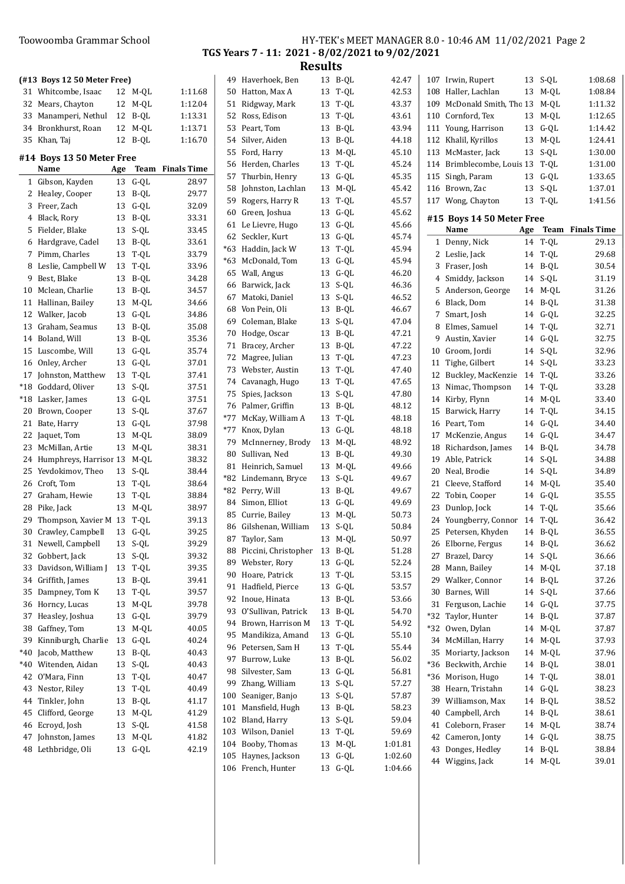### Toowoomba Grammar School

| HY-TEK's MEET MANAGER 8.0 - 10:46 AM 11/02/2021 Page 2 |  |
|--------------------------------------------------------|--|
| TGS Years 7 - 11: 2021 - 8/02/2021 to 9/02/2021        |  |
| <b>Results</b>                                         |  |

|       | (#13 Boys 12 50 Meter Free)       |     |        |                    |
|-------|-----------------------------------|-----|--------|--------------------|
| 31    | Whitcombe, Isaac                  | 12  | M-QL   | 1:11.68            |
| 32    | Mears, Chayton                    | 12  | $M-OL$ | 1:12.04            |
| 33    | Manamperi, Nethul                 | 12  | B-QL   | 1:13.31            |
| 34    | Bronkhurst, Roan                  | 12  | M-QL   | 1:13.71            |
| 35    | Khan, Taj                         | 12  | B-OL   | 1:16.70            |
|       |                                   |     |        |                    |
|       | #14 Boys 13 50 Meter Free<br>Name | Age | Team   | <b>Finals Time</b> |
| 1     | Gibson, Kayden                    | 13  | $G-QL$ | 28.97              |
| 2     | Healey, Cooper                    | 13  | B-QL   | 29.77              |
| 3     | Freer, Zach                       | 13  | $G-QL$ | 32.09              |
| 4     | Black, Rory                       | 13  | B-QL   | 33.31              |
| 5     | Fielder, Blake                    | 13  | S-QL   | 33.45              |
| 6     | Hardgrave, Cadel                  | 13  | B-QL   | 33.61              |
| 7     | Pimm, Charles                     | 13  |        | 33.79              |
|       |                                   |     | T-QL   |                    |
| 8     | Leslie, Campbell W                | 13  | T-QL   | 33.96              |
| 9     | Best, Blake                       | 13  | B-QL   | 34.28              |
| 10    | Mclean, Charlie                   | 13  | B-QL   | 34.57              |
| 11    | Hallinan, Bailey                  | 13  | $M-OL$ | 34.66              |
| 12    | Walker, Jacob                     | 13  | $G-QL$ | 34.86              |
| 13    | Graham, Seamus                    | 13  | B-QL   | 35.08              |
| 14    | Boland, Will                      | 13  | B-QL   | 35.36              |
| 15    | Luscombe, Will                    | 13  | $G-OL$ | 35.74              |
| 16    | Onley, Archer                     | 13  | $G-QL$ | 37.01              |
| 17    | Johnston, Matthew                 | 13  | T-QL   | 37.41              |
| $*18$ | Goddard, Oliver                   | 13  | S-QL   | 37.51              |
| $*18$ | Lasker, James                     | 13  | $G-QL$ | 37.51              |
| 20    | Brown, Cooper                     | 13  | S-QL   | 37.67              |
| 21    | Bate, Harry                       | 13  | $G-QL$ | 37.98              |
| 22    | Jaquet, Tom                       | 13  | $M-QL$ | 38.09              |
| 23    | McMillan, Artie                   | 13  | $M-QL$ | 38.31              |
| 24    | Humphreys, Harrisor 13            |     | M-QL   | 38.32              |
| 25    | Yevdokimov, Theo                  | 13  | S-QL   | 38.44              |
| 26    | Croft, Tom                        | 13  | $T-QL$ | 38.64              |
| 27    | Graham, Hewie                     | 13  | T-QL   | 38.84              |
| 28    | Pike, Jack                        | 13  | M-QL   | 38.97              |
| 29    | Thompson, Xavier M                | 13  | T-QL   | 39.13              |
| 30    | Crawley, Campbell                 | 13  | G-QL   | 39.25              |
| 31    | Newell, Campbell                  | 13  | S-QL   | 39.29              |
| 32    | Gobbert, Jack                     | 13  | S-QL   | 39.32              |
| 33    | Davidson, William J               | 13  | T-QL   | 39.35              |
| 34    | Griffith, James                   | 13  | B-QL   | 39.41              |
| 35    | Dampney, Tom K                    | 13  | T-QL   | 39.57              |
| 36    | Horncy, Lucas                     | 13  | M-QL   | 39.78              |
| 37    | Heasley, Joshua                   | 13  | $G-QL$ | 39.79              |
| 38    | Gaffney, Tom                      | 13  | M-QL   | 40.05              |
| 39    | Kinniburgh, Charlie               | 13  | $G-QL$ | 40.24              |
| *40   | Jacob, Matthew                    | 13  | B-QL   | 40.43              |
| *40   | Witenden, Aidan                   | 13  | S-QL   | 40.43              |
| 42    | O'Mara, Finn                      | 13  | T-QL   | 40.47              |
| 43    | Nestor, Riley                     | 13  | $T-QL$ | 40.49              |
| 44    | Tinkler, John                     | 13  | $B-QL$ | 41.17              |
| 45    | Clifford, George                  | 13  | $M-QL$ | 41.29              |
| 46    | Ecroyd, Josh                      | 13  | $S-QL$ | 41.58              |
| 47    | Johnston, James                   | 13  | M-QL   | 41.82              |
| 48    | Lethbridge, Oli                   | 13  | $G-QL$ | 42.19              |

| 49    | Haverhoek, Ben       | 13 | B-QL                   | 42.47   | 107<br>Irv  |
|-------|----------------------|----|------------------------|---------|-------------|
| 50    | Hatton, Max A        | 13 | T-QL                   | 42.53   | 108<br>Ha   |
| 51    | Ridgway, Mark        | 13 | T-QL                   | 43.37   | 109<br>Mc   |
| 52    | Ross, Edison         | 13 | $T\text{-}\mathrm{QL}$ | 43.61   | 110<br>Co   |
| 53    | Peart, Tom           | 13 | B-QL                   | 43.94   | 111<br>Yo   |
| 54    | Silver, Aiden        | 13 | B-QL                   | 44.18   | 112<br>Kh   |
| 55    | Ford, Harry          | 13 | M-QL                   | 45.10   | 113<br>Mc   |
| 56    | Herden, Charles      | 13 | T-QL                   | 45.24   | 114<br>Bri  |
| 57    | Thurbin, Henry       | 13 | G-QL                   | 45.35   | 115<br>Sin  |
| 58    | Johnston, Lachlan    | 13 | M-QL                   | 45.42   | 116<br>Br   |
| 59    | Rogers, Harry R      | 13 | T-QL                   | 45.57   | 117<br>Wo   |
| 60    | Green, Joshua        | 13 | G-QL                   | 45.62   |             |
| 61    | Le Lievre, Hugo      | 13 | G-QL                   | 45.66   | #15 B       |
| 62    | Seckler, Kurt        | 13 | $\mbox{G-QL}$          | 45.74   | Na          |
| $*63$ | Haddin, Jack W       | 13 | T-QL                   | 45.94   | 1<br>De     |
| $*63$ | McDonald, Tom        | 13 | G-QL                   | 45.94   | 2<br>Le:    |
| 65    | Wall, Angus          | 13 | G-QL                   | 46.20   | 3<br>Fra    |
| 66    | Barwick, Jack        | 13 | S-QL                   | 46.36   | 4<br>Sm     |
| 67    | Matoki, Daniel       | 13 | S-QL                   | 46.52   | 5<br>An     |
| 68    | Von Pein, Oli        | 13 | B-QL                   | 46.67   | 6<br>Bla    |
| 69    | Coleman, Blake       | 13 | S-QL                   | 47.04   | 7<br>Sm     |
| 70    | Hodge, Oscar         | 13 | B-QL                   | 47.21   | 8<br>Elr    |
| 71    | Bracey, Archer       | 13 | B-QL                   | 47.22   | 9<br>Au     |
| 72    | Magree, Julian       | 13 | T-QL                   | 47.23   | 10<br>Gro   |
| 73    | Webster, Austin      | 13 | T-QL                   | 47.40   | 11<br>Tig   |
| 74    | Cavanagh, Hugo       | 13 | T-QL                   | 47.65   | 12<br>Bu    |
| 75    | Spies, Jackson       | 13 | S-QL                   | 47.80   | 13<br>Niı   |
| 76    | Palmer, Griffin      | 13 | $\operatorname{B-QL}$  | 48.12   | 14<br>Kir   |
| $*77$ | McKay, William A     | 13 | T-QL                   | 48.18   | 15<br>Ba    |
| $*77$ | Knox, Dylan          | 13 | G-QL                   | 48.18   | 16<br>Pe:   |
| 79    | McInnerney, Brody    | 13 | M-QL                   | 48.92   | 17<br>Mc    |
| 80    | Sullivan, Ned        | 13 | B-QL                   | 49.30   | 18<br>Rio   |
| 81    | Heinrich, Samuel     | 13 | $\text{M-QL}$          | 49.66   | 19<br>Ab    |
| $*82$ | Lindemann, Bryce     | 13 | S-QL                   | 49.67   | 20<br>Ne    |
| $*82$ | Perry, Will          | 13 | B-QL                   | 49.67   | 21<br>Cle   |
| 84    | Simon, Elliot        | 13 | G-QL                   | 49.69   | 22<br>Tol   |
| 85    | Currie, Bailey       | 13 | M-QL                   | 50.73   | 23<br>Du    |
| 86    | Gilshenan, William   | 13 | S-QL                   | 50.84   | 24<br>Yo    |
| 87    | Taylor, Sam          | 13 | $M-QL$                 | 50.97   | 25<br>Pet   |
| 88    | Piccini, Christopher | 13 | B-QL                   | 51.28   | Elt<br>26   |
| 89    | Webster, Rory        | 13 | $\mbox{G-QL}$          | 52.24   | 27<br>Bra   |
| 90    | Hoare, Patrick       | 13 | T-QL                   | 53.15   | 28<br>Мa    |
| 91    | Hadfield, Pierce     | 13 | G-QL                   | 53.57   | 29<br>Wε    |
| 92    | Inoue, Hinata        | 13 | B-QL                   | 53.66   | 30<br>Ba    |
| 93    | O'Sullivan, Patrick  | 13 | B-QL                   | 54.70   | 31<br>Fei   |
| 94    | Brown, Harrison M    | 13 | T-QL                   | 54.92   | *32<br>Tay  |
| 95    | Mandikiza, Amand     | 13 | G-QL                   | 55.10   | *32<br>Ow   |
| 96    | Petersen, Sam H      | 13 | T-QL                   | 55.44   | 34<br>Мc    |
| 97    | Burrow, Luke         | 13 | B-QL                   | 56.02   | 35<br>Мc    |
| 98    | Silvester, Sam       | 13 | G-QL                   | 56.81   | $*36$<br>Be |
| 99    | Zhang, William       | 13 | S-QL                   | 57.27   | $*36$<br>Мc |
| 100   | Seaniger, Banjo      | 13 | S-QL                   | 57.87   | 38<br>He    |
| 101   | Mansfield, Hugh      | 13 | B-QL                   | 58.23   | 39<br>Wi    |
| 102   | Bland, Harry         | 13 | S-QL                   | 59.04   | 40<br>Ca    |
| 103   | Wilson, Daniel       | 13 | T-QL                   | 59.69   | 41<br>Co    |
| 104   | Booby, Thomas        | 13 | M-QL                   | 1:01.81 | 42<br>Ca    |
| 105   | Haynes, Jackson      | 13 | G-QL                   | 1:02.60 | 43<br>Do    |
|       | 106 French, Hunter   | 13 | G-QL                   | 1:04.66 | 44<br>Wi    |
|       |                      |    |                        |         |             |

| 107   | Irwin, Rupert             | 13  | S-QL        | 1:08.68            |
|-------|---------------------------|-----|-------------|--------------------|
| 108   | Haller, Lachlan           | 13  | M-QL        | 1:08.84            |
|       |                           |     |             |                    |
| 109   | McDonald Smith, Thc 13    |     | $M-QL$      | 1:11.32            |
| 110   | Cornford, Tex             | 13  | M-QL        | 1:12.65            |
| 111   | Young, Harrison           | 13  | $G-QL$      | 1:14.42            |
| 112   | Khalil, Kyrillos          | 13  | M-QL        | 1:24.41            |
| 113   | McMaster, Jack            | 13  | S-QL        | 1:30.00            |
| 114   | Brimblecombe, Louis 13    |     | T-QL        | 1:31.00            |
| 115   | Singh, Param              | 13  | $G-QL$      | 1:33.65            |
| 116   | Brown, Zac                | 13  | S-QL        | 1:37.01            |
| 117   | Wong, Chayton             | 13  | T-QL        | 1:41.56            |
|       | #15 Boys 14 50 Meter Free |     |             |                    |
|       | Name                      |     | Team        | <b>Finals Time</b> |
|       |                           | Age |             |                    |
| 1     | Denny, Nick               | 14  | T-QL        | 29.13              |
| 2     | Leslie, Jack              | 14  | T-QL        | 29.68              |
| 3     | Fraser, Josh              | 14  | B-QL        | 30.54              |
| 4     | Smiddy, Jackson           | 14  | S-QL        | 31.19              |
| 5     | Anderson, George          | 14  | $M-QL$      | 31.26              |
| 6     | Black, Dom                | 14  | B-QL        | 31.38              |
| 7     | Smart, Josh               | 14  | $G-QL$      | 32.25              |
| 8     | Elmes, Samuel             | 14  | T-QL        | 32.71              |
| 9     | Austin, Xavier            | 14  | $G-QL$      | 32.75              |
| 10    | Groom, Jordi              | 14  | S-QL        | 32.96              |
| 11    | Tighe, Gilbert            | 14  | S-QL        | 33.23              |
| 12    | Buckley, MacKenzie        | 14  | T-QL        | 33.26              |
| 13    | Nimac, Thompson           | 14  | T-QL        | 33.28              |
| 14    | Kirby, Flynn              | 14  | M-QL        | 33.40              |
| 15    | Barwick, Harry            | 14  | $T-QL$      | 34.15              |
| 16    | Peart, Tom                | 14  | $G-QL$      | 34.40              |
| 17    | McKenzie, Angus           | 14  | $G-QL$      | 34.47              |
| 18    | Richardson, James         | 14  | B-QL        | 34.78              |
| 19    | Able, Patrick             | 14  | S-QL        | 34.88              |
| 20    | Neal, Brodie              | 14  | S-QL        | 34.89              |
| 21    | Cleeve, Stafford          | 14  | M-QL        | 35.40              |
| 22    | Tobin, Cooper             | 14  | $G-QL$      | 35.55              |
| 23    | Dunlop, Jock              | 14  | T-QL        | 35.66              |
| 24    | Youngberry, Connor        | 14  | T-QL        | 36.42              |
| 25    | Petersen, Khyden          | 14  | B-QL        | 36.55              |
| 26    | Elborne, Fergus           | 14  | <b>B-QL</b> | 36.62              |
| 27    | Brazel, Darcy             | 14  | S-QL        | 36.66              |
| 28    | Mann, Bailey              | 14  | M-QL        | 37.18              |
| 29    | Walker, Connor            | 14  | $B-QL$      | 37.26              |
| 30    | Barnes, Will              | 14  | S-QL        | 37.66              |
| 31    | Ferguson, Lachie          | 14  | $G-QL$      | 37.75              |
| *32   | Taylor, Hunter            | 14  | B-QL        | 37.87              |
| *32   | Owen, Dylan               | 14  | M-QL        | 37.87              |
| 34    | McMillan, Harry           | 14  | M-QL        | 37.93              |
| 35    | Moriarty, Jackson         | 14  | M-QL        | 37.96              |
| $*36$ | Beckwith, Archie          | 14  | B-QL        | 38.01              |
| $*36$ | Morison, Hugo             | 14  | T-QL        | 38.01              |
| 38    | Hearn, Tristahn           | 14  | $G-QL$      | 38.23              |
| 39    | Williamson, Max           | 14  | B-QL        | 38.52              |
| 40    | Campbell, Arch            | 14  | B-QL        | 38.61              |
| 41    | Coleborn, Fraser          | 14  | M-QL        | 38.74              |
| 42    | Cameron, Jonty            | 14  | $G-QL$      | 38.75              |
| 43    | Donges, Hedley            | 14  | B-QL        | 38.84              |
| 44    | Wiggins, Jack             | 14  | M-QL        | 39.01              |
|       |                           |     |             |                    |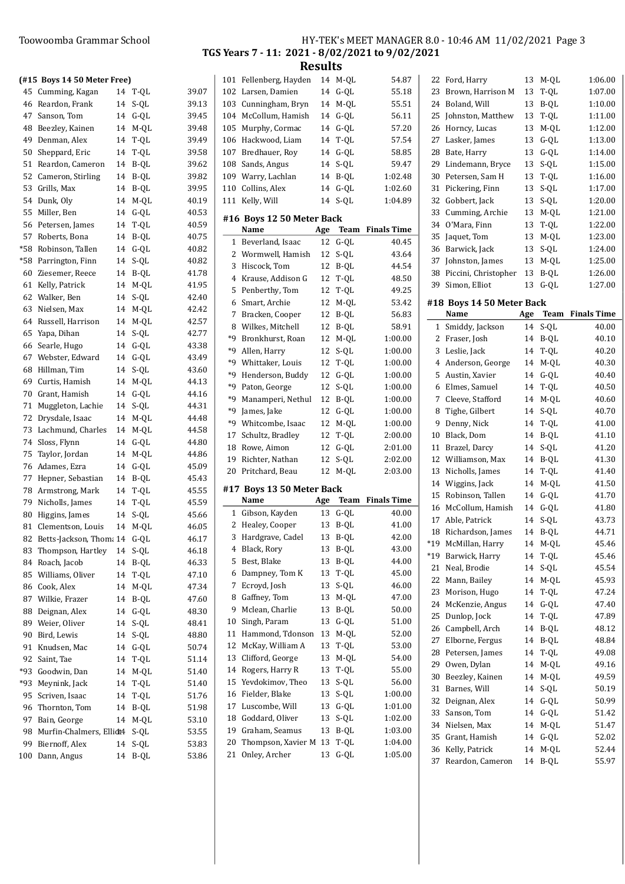$(H15$  Boys 14 50 Meter 45 Cumming, Kagan 46 Reardon, Frank 47 Sanson, Tom 48 Beezley, Kainen 49 Denman, Alex 50 Sheppard, Eric 51 Reardon, Cameron 52 Cameron, Stirling 53 Grills, Max 54 Dunk, Oly 55 Miller, Ben 56 Petersen, James 57 Roberts, Bona \*58 Robinson, Tallen \*58 Parrington, Finn 60 Ziesemer, Reece 61 Kelly, Patrick 62 Walker, Ben 63 Nielsen, Max 64 Russell, Harrison 65 Yapa, Dihan 66 Searle, Hugo 67 Webster, Edward 68 Hillman, Tim 69 Curtis, Hamish 70 Grant, Hamish 71 Muggleton, Lachie 72 Drysdale, Isaac 73 Lachmund, Charles 74 Sloss, Flynn 75 Taylor, Jordan 76 Adames, Ezra 77 Hepner, Sebastian 78 Armstrong, Mark 79 Nicholls, James 80 Higgins, James 81 Clementson, Louis 82 Betts-Jackson, Thom 83 Thompson, Hartley 84 Roach, Jacob 85 Williams, Oliver 86 Cook, Alex 87 Wilkie, Frazer 88 Deignan, Alex 89 Weier, Oliver 90 Bird, Lewis 91 Knudsen, Mac 92 Saint, Tae \*93 Goodwin, Dan \*93 Meynink, Jack 95 Scriven, Isaac 96 Thornton, Tom 97 Bain, George 98 Murfin-Chalmers, El 99 Biernoff, Alex 100 Dann, Angus

# Toowoomba Grammar School The HY-TEK's MEET MANAGER 8.0 - 10:46 AM 11/02/2021 Page 3 TGS Years 7 - 11: 2021 - 8/02/2021 to 9/02/2021

Results

| Free)    |              |                |        | 101 Fellenberg, Hayden               | 14       | M-QL                  | 54.87                   |
|----------|--------------|----------------|--------|--------------------------------------|----------|-----------------------|-------------------------|
|          | 14 T-QL      | 39.07          |        | 102 Larsen, Damien                   | 14       | $G-QL$                | 55.18                   |
| 14       | S-QL         | 39.13          |        | 103 Cunningham, Bryn                 | 14       | M-QL                  | 55.51                   |
|          | 14 G-QL      | 39.45          |        | 104 McCollum, Hamish                 |          | 14 G-QL               | 56.11                   |
| 14       | M-QL         | 39.48          |        | 105 Murphy, Cormac                   |          | 14 G-QL               | 57.20                   |
|          | 14 T-QL      | 39.49          |        | 106 Hackwood, Liam                   | 14       | T-QL                  | 57.54                   |
| 14       | T-QL         | 39.58          |        | 107 Bredhauer, Roy                   | 14       | $G-QL$                | 58.85                   |
| 14       | B-QL         | 39.62          |        | 108 Sands, Angus                     | 14       | S-QL                  | 59.47                   |
| 14       | B-QL         | 39.82          |        | 109 Warry, Lachlan                   | 14       | B-QL                  | 1:02.48                 |
| 14       | B-QL         | 39.95          |        | 110 Collins, Alex                    | 14       | $G-QL$                | 1:02.60                 |
| 14       | M-QL         | 40.19          |        | 111 Kelly, Will                      | 14       | S-QL                  | 1:04.89                 |
| 14       | $G-QL$       | 40.53          |        | #16 Boys 12 50 Meter Back            |          |                       |                         |
| 14       | T-QL         | 40.59          |        | Name                                 | Age      |                       | <b>Team</b> Finals Time |
| 14       | B-QL         | 40.75          |        | 1 Beverland, Isaac                   | 12       | $G-QL$                | 40.45                   |
|          | 14 G-QL      | 40.82          |        | 2 Wormwell, Hamish                   | 12       | S-QL                  | 43.64                   |
| 14       | S-QL         | 40.82          |        | 3 Hiscock, Tom                       | 12       | B-QL                  | 44.54                   |
|          | 14 B-QL      | 41.78          | 4      | Krause, Addison G                    | 12       | T-QL                  | 48.50                   |
|          | 14 M-QL      | 41.95          | 5      | Penberthy, Tom                       | 12       | T-QL                  | 49.25                   |
| 14       | S-QL         | 42.40          | 6      | Smart, Archie                        | 12       | M-QL                  | 53.42                   |
| 14       | $M-QL$       | 42.42          | 7      | Bracken, Cooper                      | 12       | B-QL                  | 56.83                   |
| 14       | M-QL         | 42.57          | 8      | Wilkes, Mitchell                     | 12       | B-QL                  | 58.91                   |
| 14       | S-QL         | 42.77          | *9     | Bronkhurst, Roan                     | 12       | M-QL                  | 1:00.00                 |
| 14       | $G-QL$       | 43.38          | *9     | Allen, Harry                         | 12       | S-QL                  | 1:00.00                 |
|          | 14 G-QL      | 43.49          | *9     | Whittaker, Louis                     | 12       | T-QL                  | 1:00.00                 |
| 14       | S-QL         | 43.60          | *9     | Henderson, Buddy                     | 12       | $G-QL$                | 1:00.00                 |
| 14       | M-QL         | 44.13          | *9     | Paton, George                        | 12       | S-QL                  | 1:00.00                 |
|          | 14 G-QL      | 44.16          | *9     | Manamperi, Nethul                    | 12       | B-QL                  | 1:00.00                 |
| 14       | S-QL         | 44.31          | *9     | James, Jake                          |          | 12 G-QL               | 1:00.00                 |
|          |              |                |        |                                      |          |                       |                         |
| 14       | M-QL         | 44.48          | *9     |                                      | 12       |                       | 1:00.00                 |
| 14       | M-QL         | 44.58          | 17     | Whitcombe, Isaac<br>Schultz, Bradley | 12       | M-QL<br>T-QL          | 2:00.00                 |
|          | 14 G-QL      | 44.80          |        | 18 Rowe, Aimon                       | 12       | $G-QL$                | 2:01.00                 |
| 14       | $M-QL$       | 44.86          | 19     | Richter, Nathan                      | 12       | S-QL                  | 2:02.00                 |
| 14       | $G-QL$       | 45.09          |        | 20 Pritchard, Beau                   | 12       | M-QL                  | 2:03.00                 |
| 14       | B-QL         | 45.43          |        |                                      |          |                       |                         |
| 14       | T-QL         | 45.55          |        | #17 Boys 13 50 Meter Back            |          |                       |                         |
| 14       | T-QL         | 45.59          |        | Name                                 | Age      |                       | Team Finals Time        |
| 14       | S-QL         | 45.66          |        | 1 Gibson, Kayden                     | 13       | $G-QL$                | 40.00                   |
| 14       | M-QL         | 46.05          |        | 2 Healey, Cooper                     | 13       | B-QL                  | 41.00                   |
| ii 14    | $G-QL$       | 46.17          |        | 3 Hardgrave, Cadel                   | 13       | $\operatorname{B-QL}$ | 42.00                   |
| 14       | S-QL         | 46.18          | 4      | Black, Rory                          | 13       | B-QL                  | 43.00                   |
| 14       | B-QL         | 46.33          | 5      | Best, Blake                          | 13       | B-QL                  | 44.00                   |
| 14       | $T-QL$       | 47.10          | 6      | Dampney, Tom K                       | 13       | T-QL                  | 45.00                   |
| 14       | M-QL         | 47.34          | 7<br>8 | Ecroyd, Josh<br>Gaffney, Tom         | 13       | S-QL                  | 46.00                   |
| 14       | B-QL         | 47.60          | 9      | Mclean, Charlie                      | 13<br>13 | M-QL<br>B-QL          | 47.00                   |
| 14       | $G-QL$       | 48.30          | 10     | Singh, Param                         | 13       | $G-QL$                | 50.00<br>51.00          |
| 14       | S-QL         | 48.41          |        | 11 Hammond, Tdonson                  | 13       | $M-QL$                | 52.00                   |
| 14<br>14 | S-QL         | 48.80          | 12     | McKay, William A                     | 13       | T-QL                  | 53.00                   |
| 14       | G-QL         | 50.74          | 13     | Clifford, George                     | 13       | $M-QL$                | 54.00                   |
| 14       | T-QL<br>M-QL | 51.14<br>51.40 |        | 14 Rogers, Harry R                   | 13       | T-QL                  | 55.00                   |
| 14       | T-QL         | 51.40          | 15     | Yevdokimov, Theo                     | 13       | S-QL                  | 56.00                   |
| 14       | T-QL         | 51.76          | 16     | Fielder, Blake                       | 13       | S-QL                  | 1:00.00                 |
| 14       | B-QL         | 51.98          | 17     | Luscombe, Will                       | 13       | $G-QL$                | 1:01.00                 |
| 14       | $M-QL$       | 53.10          | 18     | Goddard, Oliver                      | 13       | S-QL                  | 1:02.00                 |
| lidt4    | S-QL         | 53.55          | 19     | Graham, Seamus                       | 13       | B-QL                  | 1:03.00                 |
| 14       | S-QL         | 53.83          | 20     | Thompson, Xavier M 13                |          | T-QL                  | 1:04.00                 |

| 54.87          | 22  | Ford, Harry               | 13  | M-QL        | 1:06.00            |
|----------------|-----|---------------------------|-----|-------------|--------------------|
| 55.18          | 23  | Brown, Harrison M         | 13  | T-QL        | 1:07.00            |
| 55.51          | 24  | Boland, Will              | 13  | B-QL        | 1:10.00            |
| 56.11          | 25  | Johnston, Matthew         | 13  | T-QL        | 1:11.00            |
| 57.20          | 26  | Horncy, Lucas             | 13  | M-QL        | 1:12.00            |
| 57.54          | 27  | Lasker, James             | 13  | $G-QL$      | 1:13.00            |
| 58.85          | 28  | Bate, Harry               | 13  | $G-QL$      | 1:14.00            |
| 59.47          | 29  | Lindemann, Bryce          | 13  | S-QL        | 1:15.00            |
| :02.48         | 30  | Petersen, Sam H           | 13  | T-QL        | 1:16.00            |
| :02.60         | 31  | Pickering, Finn           | 13  | S-QL        | 1:17.00            |
| :04.89         | 32  | Gobbert, Jack             | 13  | S-QL        | 1:20.00            |
|                | 33  | Cumming, Archie           | 13  | M-QL        | 1:21.00            |
|                | 34  | O'Mara, Finn              | 13  | T-QL        | 1:22.00            |
| Time           | 35  | Jaquet, Tom               | 13  | M-QL        | 1:23.00            |
| 40.45          | 36  | Barwick, Jack             | 13  | S-QL        | 1:24.00            |
| 43.64          | 37  | Johnston, James           | 13  | M-QL        | 1:25.00            |
| 44.54          | 38  | Piccini, Christopher      | 13  | B-QL        | 1:26.00            |
| 48.50          | 39  | Simon, Elliot             | 13  | $G-QL$      | 1:27.00            |
| 49.25          |     |                           |     |             |                    |
| 53.42          |     | #18 Boys 14 50 Meter Back |     |             |                    |
| 56.83          |     | Name                      | Age | Team        | <b>Finals Time</b> |
| 58.91          | 1   | Smiddy, Jackson           | 14  | S-QL        | 40.00              |
| :00.00         | 2   | Fraser, Josh              | 14  | B-QL        | 40.10              |
| :00.00         | 3   | Leslie, Jack              | 14  | T-QL        | 40.20              |
| :00.00         | 4   | Anderson, George          | 14  | M-QL        | 40.30              |
| :00.00         | 5   | Austin, Xavier            | 14  | $G-QL$      | 40.40              |
| :00.00         | 6   | Elmes, Samuel             | 14  | T-QL        | 40.50              |
| :00.00         | 7   | Cleeve, Stafford          | 14  | M-QL        | 40.60              |
| :00.00         | 8   | Tighe, Gilbert            | 14  | S-QL        | 40.70              |
| :00.00         | 9   | Denny, Nick               | 14  | T-QL        | 41.00              |
| :00.00         | 10  | Black, Dom                | 14  | B-QL        | 41.10              |
| :01.00         | 11  | Brazel, Darcy             | 14  | S-QL        | 41.20              |
| :02.00         | 12  | Williamson, Max           | 14  | B-QL        | 41.30              |
| :03.00         | 13  | Nicholls, James           | 14  | T-QL        | 41.40              |
|                | 14  | Wiggins, Jack             | 14  | M-QL        | 41.50              |
| Time           | 15  | Robinson, Tallen          | 14  | G-QL        | 41.70              |
| 40.00          | 16  | McCollum, Hamish          | 14  | $G-QL$      | 41.80              |
| 41.00          | 17  | Able, Patrick             | 14  | S-QL        | 43.73              |
| 42.00          | 18  | Richardson, James         | 14  | <b>B-QL</b> | 44.71              |
| 43.00          |     | *19 McMillan, Harry       |     | 14 M-QL     | 45.46              |
| 44.00          | *19 | Barwick, Harry            | 14  | T-QL        | 45.46              |
| 45.00          | 21  | Neal, Brodie              | 14  | S-QL        | 45.54              |
| 46.00          | 22  | Mann, Bailey              | 14  | M-QL        | 45.93              |
| 47.00          | 23  | Morison, Hugo             | 14  | T-QL        | 47.24              |
|                | 24  | McKenzie, Angus           | 14  | $G-QL$      | 47.40              |
| 50.00          | 25  | Dunlop, Jock              | 14  | T-QL        | 47.89              |
| 51.00          | 26  | Campbell, Arch            | 14  | B-QL        | 48.12              |
| 52.00<br>53.00 | 27  | Elborne, Fergus           | 14  | B-QL        | 48.84              |
| 54.00          | 28  | Petersen, James           | 14  | T-QL        | 49.08              |
|                | 29  | Owen, Dylan               | 14  | M-QL        | 49.16              |
| 55.00          | 30  | Beezley, Kainen           | 14  | M-QL        | 49.59              |
| 56.00          | 31  | Barnes, Will              | 14  | S-QL        | 50.19              |
| :00.00         | 32  | Deignan, Alex             | 14  | G-QL        | 50.99              |
| :01.00         | 33  | Sanson, Tom               | 14  | $G-QL$      | 51.42              |
| :02.00         | 34  | Nielsen, Max              | 14  | M-QL        | 51.47              |
| :03.00         | 35  | Grant, Hamish             | 14  | $G-QL$      | 52.02              |
| :04.00         | 36  | Kelly, Patrick            | 14  | M-QL        | 52.44              |
| :05.00         | 37  | Reardon, Cameron          | 14  | B-QL        | 55.97              |
|                |     |                           |     |             |                    |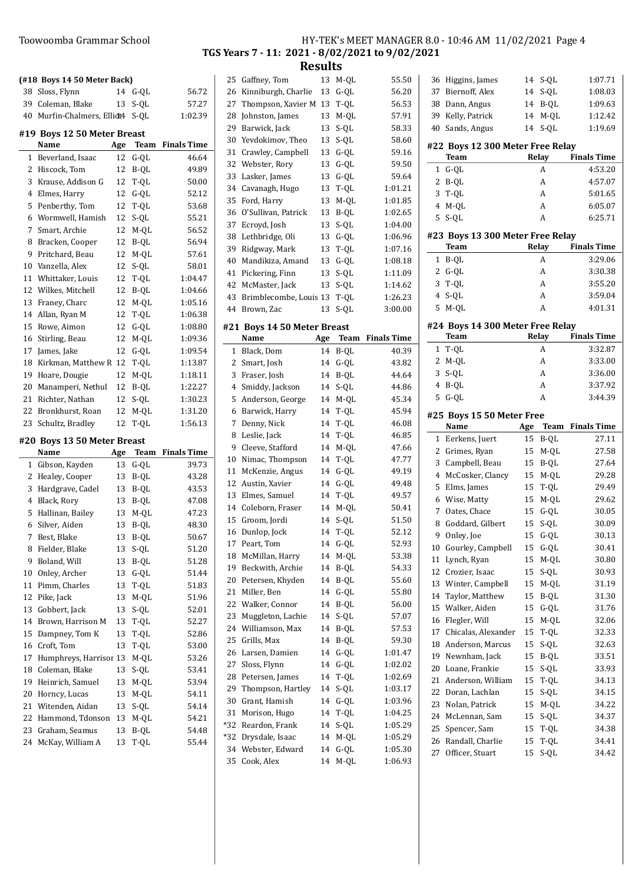## Toowoomba Grammar School HY-TEK's MEET MANAGER 8.0 - 10:46 AM 11/02/2021 Page 4 TGS Years 7 - 11: 2021 - 8/02/2021 to 9/02/2021 Results 25 55.50 Gaffney, Tom 13 M-QL

|    | (#18 Boys 14 50 Meter Back) |     |        |                    |
|----|-----------------------------|-----|--------|--------------------|
| 38 | Sloss, Flynn                | 14  | G-QL   | 56.72              |
|    | 39 Coleman, Blake           | 13  | S-QL   | 57.27              |
|    | 40 Murfin-Chalmers, Ellidt4 |     | S-QL   | 1:02.39            |
|    | #19 Boys 12 50 Meter Breast |     |        |                    |
|    | Name                        | Age | Team   | <b>Finals Time</b> |
| 1  | Beverland, Isaac            | 12  | $G-QL$ | 46.64              |
| 2  | Hiscock, Tom                | 12  | B-QL   | 49.89              |
| 3  | Krause, Addison G           | 12  | T-QL   | 50.00              |
| 4  | Elmes, Harry                | 12  | $G-QL$ | 52.12              |
| 5  | Penberthy, Tom              | 12  | T-QL   | 53.68              |
| 6  | Wormwell, Hamish            | 12  | S-QL   | 55.21              |
| 7  | Smart, Archie               | 12  | M-QL   | 56.52              |
| 8  | Bracken, Cooper             | 12  | B-QL   | 56.94              |
| 9  | Pritchard, Beau             | 12  | M-QL   | 57.61              |
| 10 | Vanzella, Alex              | 12  | S-QL   | 58.01              |
| 11 | Whittaker, Louis            | 12  | T-QL   | 1:04.47            |
| 12 | Wilkes, Mitchell            | 12  | B-QL   | 1:04.66            |
| 13 | Franey, Charc               |     |        | 1:05.16            |
|    |                             | 12  | M-QL   |                    |
|    | 14 Allan, Ryan M            | 12  | T-QL   | 1:06.38            |
|    | 15 Rowe, Aimon              | 12  | $G-QL$ | 1:08.80            |
|    | 16 Stirling, Beau           | 12  | $M-QL$ | 1:09.36            |
| 17 | James, Jake                 | 12  | $G-QL$ | 1:09.54            |
| 18 | Kirkman, Matthew R          | 12  | T-QL   | 1:13.87            |
| 19 | Hoare, Dougie               | 12  | M-QL   | 1:18.11            |
| 20 | Manamperi, Nethul           | 12  | B-QL   | 1:22.27            |
| 21 | Richter, Nathan             | 12  | S-QL   | 1:30.23            |
| 22 | Bronkhurst, Roan            | 12  | M-QL   | 1:31.20            |
|    |                             |     |        |                    |
| 23 | Schultz, Bradley            | 12  | T-QL   | 1:56.13            |
|    | #20 Boys 13 50 Meter Breast |     |        |                    |
|    | Name                        | Age | Team   | <b>Finals Time</b> |
| 1  | Gibson, Kayden              | 13  | $G-QL$ | 39.73              |
| 2  | Healey, Cooper              | 13  | B-QL   | 43.28              |
| 3  | Hardgrave, Cadel            | 13  | B-QL   | 43.53              |
| 4  | Black, Rory                 | 13  | B-QL   | 47.08              |
| 5  | Hallinan, Bailey            | 13  | M-QL   | 47.23              |
| 6  | Silver, Aiden               | 13  | B-QL   | 48.30              |
| 7  | Best, Blake                 | 13  | B-QL   | 50.67              |
| 8  | Fielder, Blake              | 13  | S-QL   | 51.20              |
| 9  | Boland, Will                | 13  | B-QL   | 51.28              |
| 10 | Onley, Archer               | 13  | $G-QL$ | 51.44              |
| 11 | Pimm, Charles               | 13  | T-QL   | 51.83              |
| 12 | Pike, Jack                  | 13  | $M-QL$ | 51.96              |
| 13 | Gobbert, Jack               | 13  | S-QL   | 52.01              |
| 14 | Brown, Harrison M           | 13  | T-QL   | 52.27              |
| 15 | Dampney, Tom K              | 13  | T-QL   | 52.86              |
| 16 | Croft, Tom                  | 13  | T-QL   | 53.00              |
| 17 | Humphreys, Harrisor 13      |     | M-QL   | 53.26              |
| 18 | Coleman, Blake              | 13  | S-QL   | 53.41              |
| 19 | Heinrich, Samuel            | 13  | M-QL   | 53.94              |
| 20 | Horncy, Lucas               | 13  | M-QL   | 54.11              |
| 21 | Witenden, Aidan             | 13  | S-QL   | 54.14              |
| 22 | Hammond, Tdonson            | 13  | M-QL   | 54.21              |
| 23 | Graham, Seamus              | 13  | B-QL   | 54.48              |

| ر ے | Gamey, Tom                  | LJ. | בעבי          | <b>JJ.JU</b>       |
|-----|-----------------------------|-----|---------------|--------------------|
| 26  | Kinniburgh, Charlie         | 13  | $G-QL$        | 56.20              |
| 27  | Thompson, Xavier M          | 13  | T-QL          | 56.53              |
| 28  | Johnston, James             | 13  | M-QL          | 57.91              |
| 29  | Barwick, Jack               | 13  | S-QL          | 58.33              |
| 30  | Yevdokimov, Theo            | 13  | S-QL          | 58.60              |
| 31  | Crawley, Campbell           | 13  | G-QL          | 59.16              |
| 32  | Webster, Rory               | 13  | G-QL          | 59.50              |
| 33  | Lasker, James               | 13  | $G-QL$        | 59.64              |
| 34  | Cavanagh, Hugo              | 13  | T-QL          | 1:01.21            |
| 35  | Ford, Harry                 | 13  | M-QL          | 1:01.85            |
| 36  | O'Sullivan, Patrick         | 13  | B-QL          | 1:02.65            |
| 37  | Ecroyd, Josh                | 13  | S-QL          | 1:04.00            |
| 38  | Lethbridge, Oli             | 13  | $G-QL$        | 1:06.96            |
| 39  | Ridgway, Mark               | 13  | T-QL          | 1:07.16            |
| 40  | Mandikiza, Amand            | 13  |               | 1:08.18            |
|     |                             |     | G-QL          |                    |
| 41  | Pickering, Finn             | 13  | S-QL          | 1:11.09            |
| 42  | McMaster, Jack              | 13  | S-QL          | 1:14.62            |
| 43  | Brimblecombe, Louis 13      |     | T-QL          | 1:26.23            |
| 44  | Brown, Zac                  | 13  | S-QL          | 3:00.00            |
|     | #21 Boys 14 50 Meter Breast |     |               |                    |
|     | Name                        | Age | Team          | <b>Finals Time</b> |
| 1   | Black, Dom                  | 14  | B-QL          | 40.39              |
| 2   | Smart, Josh                 | 14  | $G-QL$        | 43.82              |
| 3   | Fraser, Josh                | 14  | B-QL          | 44.64              |
| 4   | Smiddy, Jackson             | 14  | S-QL          | 44.86              |
| 5   | Anderson, George            | 14  | M-QL          | 45.34              |
| 6   | Barwick, Harry              | 14  | T-QL          | 45.94              |
| 7   | Denny, Nick                 | 14  | T-QL          | 46.08              |
| 8   | Leslie, Jack                | 14  | T-QL          | 46.85              |
| 9   | Cleeve, Stafford            | 14  | M-QL          | 47.66              |
| 10  | Nimac, Thompson             | 14  | T-QL          | 47.77              |
| 11  | McKenzie, Angus             | 14  | $G-QL$        | 49.19              |
| 12  | Austin, Xavier              | 14  | $\mbox{G-QL}$ | 49.48              |
| 13  | Elmes, Samuel               | 14  | $T-QL$        | 49.57              |
| 14  | Coleborn, Fraser            | 14  | M-QL          | 50.41              |
| 15  | Groom, Jordi                | 14  | S-QL          | 51.50              |
| 16  | Dunlop, Jock                | 14  | $T-QL$        | 52.12              |
| 17  | Peart, Tom                  | 14  | G-QL          | 52.93              |
|     | McMillan, Harry             |     |               | 53.38              |
| 18  | Beckwith, Archie            | 14  | M-QL          |                    |
| 19  |                             | 14  | B-QL          | 54.33              |
| 20  | Petersen, Khyden            | 14  | B-QL          | 55.60              |
| 21  | Miller, Ben                 | 14  | $G-QL$        | 55.80              |
| 22  | Walker, Connor              | 14  | B-QL          | 56.00              |
| 23  | Muggleton, Lachie           | 14  | S-QL          | 57.07              |
| 24  | Williamson, Max             | 14  | B-QL          | 57.53              |
| 25  | Grills, Max                 | 14  | B-OL          | 59.30              |
| 26  | Larsen, Damien              | 14  | $G-OL$        | 1:01.47            |
| 27  | Sloss, Flynn                | 14  | $G-QL$        | 1:02.02            |
| 28  | Petersen, James             | 14  | $T-OL$        | 1:02.69            |
| 29  | Thompson, Hartley           | 14  | $S-QL$        | 1:03.17            |
| 30  | Grant, Hamish               | 14  | G-QL          | 1:03.96            |
| 31  | Morison, Hugo               | 14  | $T-QL$        | 1:04.25            |
| *32 | Reardon, Frank              | 14  | S-QL          | 1:05.29            |
| *32 | Drysdale, Isaac             | 14  | M-QL          | 1:05.29            |
| 34  | Webster, Edward             | 14  | G-QL          | 1:05.30            |
| 35  | Cook, Alex                  | 14  | M-QL          | 1:06.93            |
|     |                             |     |               |                    |

 $\overline{\phantom{a}}$ 

|                | 36 Higgins, James                        | 14<br>S-QL                 | 1:07.71                    |
|----------------|------------------------------------------|----------------------------|----------------------------|
| 37             | Biernoff, Alex                           | 14<br>S-QL                 | 1:08.03                    |
|                | 38 Dann, Angus                           | 14 B-QL                    | 1:09.63                    |
| 39             | Kelly, Patrick                           | M-QL<br>14                 | 1:12.42                    |
| 40             | Sands, Angus                             | S-QL<br>14                 | 1:19.69                    |
|                |                                          |                            |                            |
|                | #22 Boys 12 300 Meter Free Relay         |                            |                            |
|                | Team                                     | Relay                      | <b>Finals Time</b>         |
| 1              | $G-QL$                                   | A                          | 4:53.20                    |
| 2              | B-QL                                     | A                          | 4:57.07                    |
| 3              | $T-QL$                                   | A                          | 5:01.65                    |
| $\overline{4}$ | M-QL                                     | A                          | 6:05.07                    |
| 5              | $S-QL$                                   | A                          | 6:25.71                    |
|                | #23 Boys 13 300 Meter Free Relay         |                            |                            |
|                | Team                                     | Relay                      | <b>Finals Time</b>         |
| 1              | B-QL                                     | A                          | 3:29.06                    |
| $\mathbf{2}$   | $G-QL$                                   | A                          | 3:30.38                    |
| 3              | T-QL                                     | A                          | 3:55.20                    |
| 4              | S-QL                                     | A                          | 3:59.04                    |
| 5              | M-QL                                     | A                          | 4:01.31                    |
|                |                                          |                            |                            |
|                | #24 Boys 14 300 Meter Free Relay<br>Team | Relay                      | <b>Finals Time</b>         |
| 1              | T-QL                                     | A                          | 3:32.87                    |
| $\mathbf{2}$   |                                          | A                          |                            |
|                | M-QL                                     |                            | 3:33.00                    |
| 3              | $S-QL$                                   | A                          | 3:36.00                    |
| $\overline{4}$ | B-QL                                     | A<br>A                     | 3:37.92                    |
| 5              | $G-QL$                                   |                            | 3:44.39                    |
|                | #25 Boys 15 50 Meter Free                |                            |                            |
|                |                                          |                            |                            |
|                | Name                                     | Age                        | Team<br><b>Finals Time</b> |
| 1              | Eerkens, Juert                           | 15<br>B-QL                 | 27.11                      |
| $\mathbf{2}$   | Grimes, Ryan                             | M-QL<br>15                 | 27.58                      |
| 3              | Campbell, Beau                           | B-QL<br>15                 | 27.64                      |
| 4              | McCosker, Clancy                         | M-QL<br>15                 | 29.28                      |
| 5              | Elms, James                              | T-QL<br>15                 | 29.49                      |
| 6              | Wise, Matty                              | 15<br>M-QL                 | 29.62                      |
| 7              | Oates, Chace                             | 15<br>$G-QL$               | 30.05                      |
| 8              | Goddard, Gilbert                         | 15<br>S-QL                 | 30.09                      |
| 9              | Onley, Joe                               | 15<br>$G-QL$               | 30.13                      |
| 10             | Gourley, Campbell                        | 15<br>G-QL                 | 30.41                      |
| 11             | Lynch, Ryan                              | 15<br>M-QL                 | 30.80                      |
| 12             | Crozier, Isaac                           | 15<br>S-QL                 | 30.93                      |
| 13             | Winter, Campbell                         | 15<br>M-QL                 | 31.19                      |
| 14             | Taylor, Matthew                          | 15<br>B-OL                 |                            |
| 15             |                                          | 15<br>$G-QL$               | 31.30<br>31.76             |
|                | Walker, Aiden                            |                            |                            |
| 16<br>17       | Flegler, Will<br>Chicalas, Alexander     | 15<br>M-QL                 | 32.06                      |
|                |                                          | 15<br>T-QL                 | 32.33                      |
| 18<br>19       | Anderson, Marcus<br>Newnham, Jack        | 15<br>S-QL<br>15           | 32.63                      |
|                |                                          | B-QL                       | 33.51                      |
| 20             | Loane, Frankie                           | S-QL<br>15                 | 33.93                      |
| 21             | Anderson, William                        | 15<br>T-QL                 | 34.13                      |
| 22             | Doran, Lachlan                           | 15<br>S-QL                 | 34.15                      |
| 23             | Nolan, Patrick                           | M-QL<br>15                 | 34.22                      |
| 24             | McLennan, Sam                            | 15<br>S-QL                 | 34.37                      |
| 25             | Spencer, Sam                             | 15<br>T-QL                 | 34.38                      |
| 26<br>27       | Randall, Charlie<br>Officer, Stuart      | 15<br>$T-QL$<br>15<br>S-QL | 34.41<br>34.42             |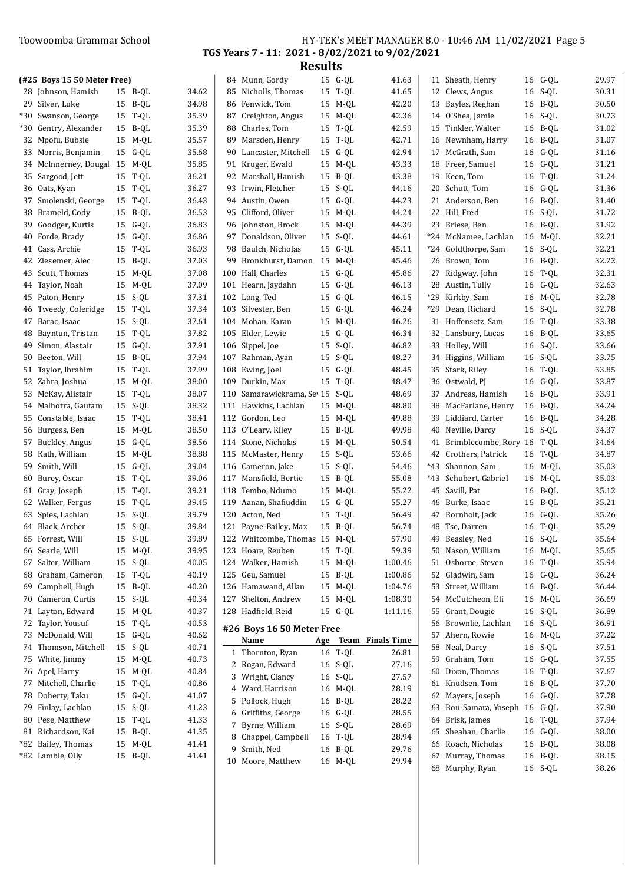## Toowoomba Grammar School HY-TEK's MEET MANAGER 8.0 - 10:46 AM 11/02/2021 Page 5 TGS Years 7 - 11: 2021 - 8/02/2021 to 9/02/2021

|     | (#25 Boys 15 50 Meter Free)   |    |         |       |    | 84 Munn, Gordy                | 15 | $G-QL$  | 41.63                | 11 Sheath, Henry              |    | 16 G-QL            | 29.97 |
|-----|-------------------------------|----|---------|-------|----|-------------------------------|----|---------|----------------------|-------------------------------|----|--------------------|-------|
|     | 28 Johnson, Hamish            |    | 15 B-QL | 34.62 |    | 85 Nicholls, Thomas           |    | 15 T-OL | 41.65                | 12 Clews, Angus               |    | 16 S-QL            | 30.31 |
|     | 29 Silver, Luke               |    | 15 B-QL | 34.98 |    | 86 Fenwick. Tom               |    | 15 M-QL | 42.20                | 13 Bayles, Reghan             | 16 | B-QL               | 30.50 |
| *30 | Swanson, George               |    | 15 T-QL | 35.39 |    | 87 Creighton, Angus           |    | 15 M-QL | 42.36                | 14 O'Shea, Jamie              | 16 | S-QL               | 30.73 |
| *30 | Gentry, Alexander             |    | 15 B-QL | 35.39 |    | 88 Charles, Tom               | 15 | T-QL    | 42.59                | 15 Tinkler, Walter            | 16 | B-QL               | 31.02 |
|     | 32 Mpofu, Bubsie              |    | 15 M-QL | 35.57 |    | 89 Marsden, Henry             |    | 15 T-QL | 42.71                | 16 Newnham, Harry             | 16 | B-QL               | 31.07 |
|     | 33 Morris, Benjamin           |    | 15 G-QL | 35.68 |    | 90 Lancaster, Mitchell        |    | 15 G-QL | 42.94                | 17 McGrath, Sam               |    | 16 G-QL            | 31.16 |
|     | 34 McInnerney, Dougal 15 M-QL |    |         | 35.85 |    | 91 Kruger, Ewald              |    | 15 M-QL | 43.33                | 18 Freer, Samuel              |    | 16 G-QL            | 31.21 |
|     | 35 Sargood, Jett              |    | 15 T-QL | 36.21 |    | 92 Marshall, Hamish           |    | 15 B-QL | 43.38                | 19 Keen, Tom                  |    | 16 T-QL            | 31.24 |
|     | 36 Oats, Kyan                 |    | 15 T-QL | 36.27 |    | 93 Irwin, Fletcher            |    | 15 S-QL | 44.16                | 20 Schutt, Tom                |    | 16 G-QL            | 31.36 |
|     | 37 Smolenski, George          |    | 15 T-QL | 36.43 |    | 94 Austin, Owen               |    | 15 G-QL | 44.23                | 21 Anderson, Ben              | 16 | B-QL               | 31.40 |
|     | 38 Brameld, Cody              |    | 15 B-QL | 36.53 | 95 | Clifford, Oliver              |    | 15 M-QL | 44.24                | 22 Hill, Fred                 | 16 | S-QL               | 31.72 |
|     | 39 Goodger, Kurtis            |    | 15 G-QL | 36.83 |    | 96 Johnston, Brock            |    | 15 M-QL | 44.39                | 23 Briese, Ben                |    | 16 B-QL            | 31.92 |
|     | 40 Forde, Brady               |    | 15 G-QL | 36.86 |    | 97 Donaldson, Oliver          |    | 15 S-QL | 44.61                | *24 McNamee, Lachlan          |    | 16 M-QL            | 32.21 |
|     | 41 Cass, Archie               |    | 15 T-QL | 36.93 | 98 | Baulch, Nicholas              |    | 15 G-QL | 45.11                | *24 Goldthorpe, Sam           |    | 16 S-QL            | 32.21 |
|     | 42 Ziesemer, Alec             |    | 15 B-QL | 37.03 | 99 | Bronkhurst, Damon             |    | 15 M-QL | 45.46                | 26 Brown, Tom                 |    | 16 B-QL            | 32.22 |
|     | 43 Scutt, Thomas              |    | 15 M-QL | 37.08 |    | 100 Hall, Charles             |    | 15 G-QL | 45.86                | 27 Ridgway, John              |    | 16 T-QL            | 32.31 |
|     | 44 Taylor, Noah               |    | 15 M-OL | 37.09 |    | 101 Hearn, Jaydahn            |    | 15 G-QL | 46.13                | 28 Austin, Tully              |    | 16 G-QL            | 32.63 |
|     | 45 Paton, Henry               |    | 15 S-QL | 37.31 |    | 102 Long, Ted                 |    | 15 G-QL | 46.15                | *29 Kirkby, Sam               |    | 16 M-QL            | 32.78 |
|     | 46 Tweedy, Coleridge          |    | 15 T-QL | 37.34 |    | 103 Silvester, Ben            |    | 15 G-OL | 46.24                | *29 Dean, Richard             |    | 16 S-QL            | 32.78 |
| 47  | Barac, Isaac                  |    | 15 S-QL | 37.61 |    | 104 Mohan, Karan              |    | 15 M-OL | 46.26                | 31 Hoffensetz, Sam            |    | 16 T-QL            | 33.38 |
| 48  | Bayntun, Tristan              |    | 15 T-QL | 37.82 |    | 105 Elder, Lewie              |    | 15 G-QL | 46.34                | 32 Lansbury, Lucas            |    | 16 B-QL            | 33.65 |
|     | 49 Simon, Alastair            |    | 15 G-QL | 37.91 |    | 106 Sippel, Joe               |    | 15 S-QL | 46.82                | 33 Holley, Will               |    | 16 S-QL            | 33.66 |
|     | 50 Beeton, Will               |    | 15 B-QL | 37.94 |    | 107 Rahman, Ayan              |    | 15 S-QL | 48.27                | 34 Higgins, William           |    | 16 S-QL            | 33.75 |
| 51  | Taylor, Ibrahim               |    | 15 T-QL | 37.99 |    | 108 Ewing, Joel               |    | 15 G-OL | 48.45                | 35 Stark, Riley               |    | 16 T-QL            | 33.85 |
|     | 52 Zahra, Joshua              |    | 15 M-QL | 38.00 |    | 109 Durkin, Max               |    | 15 T-QL | 48.47                | 36 Ostwald, PJ                |    | 16 G-QL            | 33.87 |
|     | 53 McKay, Alistair            |    | 15 T-QL | 38.07 |    | 110 Samarawickrama, Se 15     |    | S-QL    | 48.69                | 37 Andreas, Hamish            |    | 16 B-QL            | 33.91 |
|     |                               |    | 15 S-QL |       |    |                               |    |         | 48.80                |                               |    |                    | 34.24 |
|     | 54 Malhotra, Gautam           |    |         | 38.32 |    | 111 Hawkins, Lachlan          |    | 15 M-QL |                      | 38 MacFarlane, Henry          |    | 16 B-QL<br>16 B-QL |       |
|     | 55 Constable, Isaac           |    | 15 T-QL | 38.41 |    | 112 Gordon, Leo               |    | 15 M-QL | 49.88                | 39 Liddiard, Carter           |    |                    | 34.28 |
|     | 56 Burgess, Ben               |    | 15 M-QL | 38.50 |    | 113 O'Leary, Riley            |    | 15 B-QL | 49.98                | 40 Neville, Darcy             |    | 16 S-QL            | 34.37 |
|     | 57 Buckley, Angus             |    | 15 G-QL | 38.56 |    | 114 Stone, Nicholas           |    | 15 M-QL | 50.54                | 41 Brimblecombe, Rory 16 T-QL |    |                    | 34.64 |
|     | 58 Kath, William              |    | 15 M-QL | 38.88 |    | 115 McMaster, Henry           |    | 15 S-QL | 53.66                | 42 Crothers, Patrick          |    | 16 T-QL            | 34.87 |
|     | 59 Smith, Will                |    | 15 G-QL | 39.04 |    | 116 Cameron, Jake             |    | 15 S-QL | 54.46                | *43 Shannon, Sam              |    | 16 M-QL            | 35.03 |
|     | 60 Burey, Oscar               |    | 15 T-QL | 39.06 |    | 117 Mansfield, Bertie         |    | 15 B-QL | 55.08                | *43 Schubert, Gabriel         |    | 16 M-QL            | 35.03 |
|     | 61 Gray, Joseph               |    | 15 T-QL | 39.21 |    | 118 Tembo, Ndumo              |    | 15 M-QL | 55.22                | 45 Savill, Pat                | 16 | B-QL               | 35.12 |
|     | 62 Walker, Fergus             |    | 15 T-QL | 39.45 |    | 119 Aanan, Shafiuddin         |    | 15 G-QL | 55.27                | 46 Burke, Isaac               | 16 | B-QL               | 35.21 |
|     | 63 Spies, Lachlan             |    | 15 S-QL | 39.79 |    | 120 Acton, Ned                |    | 15 T-OL | 56.49                | 47 Bornholt, Jack             | 16 | G-QL               | 35.26 |
|     | 64 Black, Archer              |    | 15 S-QL | 39.84 |    | 121 Payne-Bailey, Max         |    | 15 B-OL | 56.74                | 48 Tse, Darren                | 16 | T-QL               | 35.29 |
|     | 65 Forrest, Will              |    | 15 S-QL | 39.89 |    | 122 Whitcombe, Thomas 15 M-QL |    |         | 57.90                | 49 Beasley, Ned               |    | 16 S-QL            | 35.64 |
|     | 66 Searle, Will               | 15 | M-QL    | 39.95 |    | 123 Hoare, Reuben             | 15 | T-QL    | 59.39                | 50 Nason, William             |    | 16 M-QL            | 35.65 |
| 67  | Salter, William               |    | 15 S-QL | 40.05 |    | 124 Walker, Hamish            |    | 15 M-QL | 1:00.46              | 51 Osborne, Steven            |    | 16 T-QL            | 35.94 |
| 68  | Graham, Cameron               |    | 15 T-QL | 40.19 |    | 125 Geu, Samuel               |    | 15 B-QL | 1:00.86              | 52 Gladwin, Sam               |    | 16 G-QL            | 36.24 |
|     | 69 Campbell, Hugh             |    | 15 B-QL | 40.20 |    | 126 Hamawand, Allan           |    | 15 M-QL | 1:04.76              | 53 Street, William            |    | 16 B-QL            | 36.44 |
| 70  | Cameron, Curtis               |    | 15 S-QL | 40.34 |    | 127 Shelton, Andrew           |    | 15 M-QL | 1:08.30              | 54 McCutcheon, Eli            |    | 16 M-QL            | 36.69 |
| 71  | Layton, Edward                |    | 15 M-QL | 40.37 |    | 128 Hadfield, Reid            |    | 15 G-QL | 1:11.16              | 55 Grant, Dougie              |    | 16 S-QL            | 36.89 |
| 72  | Taylor, Yousuf                |    | 15 T-QL | 40.53 |    | #26 Boys 16 50 Meter Free     |    |         |                      | 56 Brownlie, Lachlan          |    | 16 S-QL            | 36.91 |
|     | 73 McDonald, Will             |    | 15 G-QL | 40.62 |    | Name                          |    |         | Age Team Finals Time | 57 Ahern, Rowie               |    | 16 M-QL            | 37.22 |
|     | 74 Thomson, Mitchell          |    | 15 S-QL | 40.71 |    | 1 Thornton, Ryan              |    | 16 T-QL | 26.81                | 58 Neal, Darcy                |    | 16 S-QL            | 37.51 |
|     | 75 White, Jimmy               |    | 15 M-QL | 40.73 |    | 2 Rogan, Edward               |    | 16 S-QL | 27.16                | 59 Graham, Tom                |    | 16 G-QL            | 37.55 |
|     | 76 Apel, Harry                |    | 15 M-QL | 40.84 |    | 3 Wright, Clancy              |    | 16 S-QL | 27.57                | 60 Dixon, Thomas              |    | 16 T-QL            | 37.67 |
| 77  | Mitchell, Charlie             |    | 15 T-QL | 40.86 |    | 4 Ward, Harrison              |    | 16 M-QL | 28.19                | 61 Knudsen, Tom               |    | 16 B-QL            | 37.70 |
| 78  | Doherty, Taku                 |    | 15 G-QL | 41.07 |    |                               |    |         |                      | 62 Mayers, Joseph             |    | 16 G-QL            | 37.78 |
|     | 79 Finlay, Lachlan            |    | 15 S-QL | 41.23 |    | 5 Pollock, Hugh               |    | 16 B-QL | 28.22                | 63 Bou-Samara, Yoseph         |    | 16 G-QL            | 37.90 |
|     | 80 Pese, Matthew              |    | 15 T-QL | 41.33 |    | 6 Griffiths, George           |    | 16 G-QL | 28.55                | 64 Brisk, James               |    | 16 T-QL            | 37.94 |
|     | 81 Richardson, Kai            |    | 15 B-QL | 41.35 |    | 7 Byrne, William              |    | 16 S-QL | 28.69                | 65 Sheahan, Charlie           |    | 16 G-QL            | 38.00 |
|     | *82 Bailey, Thomas            |    | 15 M-QL | 41.41 |    | 8 Chappel, Campbell           |    | 16 T-QL | 28.94                | 66 Roach, Nicholas            |    | 16 B-QL            | 38.08 |
|     | *82 Lamble, Olly              |    | 15 B-QL | 41.41 |    | 9 Smith, Ned                  |    | 16 B-QL | 29.76                | 67 Murray, Thomas             |    | 16 B-QL            | 38.15 |
|     |                               |    |         |       |    | 10 Moore, Matthew             |    | 16 M-QL | 29.94                | 68 Murphy, Ryan               |    | 16 S-QL            | 38.26 |
|     |                               |    |         |       |    |                               |    |         |                      |                               |    |                    |       |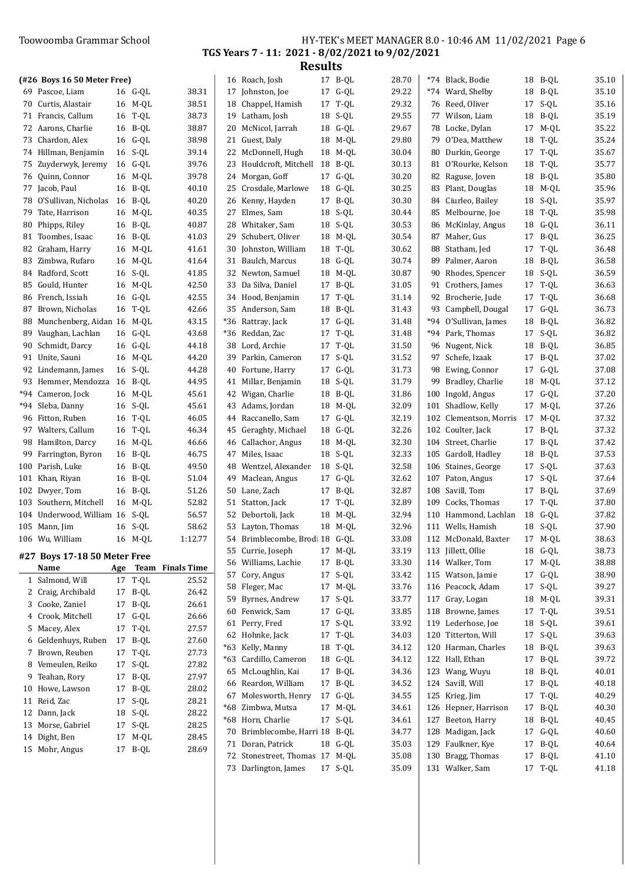## Toowoomba Grammar School HY-TEK's MEET MANAGER 8.0 - 10:46 AM 11/02/2021 Page 6 TGS Years 7 - 11: 2021 - 8/02/2021 to 9/02/2021

| (#26 Boys 16 50 Meter Free)                |                    |                      |    | 16 Roach, Josh                          | 17 B-QL            | 28.70          |    | *74 Black, Bodie                           |          | 18 B-OL            | 35.10          |
|--------------------------------------------|--------------------|----------------------|----|-----------------------------------------|--------------------|----------------|----|--------------------------------------------|----------|--------------------|----------------|
| 69 Pascoe, Liam                            | 16 G-QL            | 38.31                |    | 17 Johnston, Joe                        | 17 G-QL            | 29.22          |    | *74 Ward, Shelby                           | 18       | B-QL               | 35.10          |
| 70 Curtis, Alastair                        | 16 M-QL            | 38.51                | 18 | Chappel, Hamish                         | 17 T-OL            | 29.32          |    | 76 Reed, Oliver                            |          | 17 S-QL            | 35.16          |
| 71 Francis, Callum                         | 16 T-QL            | 38.73                |    | 19 Latham, Josh                         | 18 S-QL            | 29.55          |    | 77 Wilson, Liam                            | 18       | B-QL               | 35.19          |
| 72 Aarons, Charlie                         | 16 B-QL            | 38.87                |    | 20 McNicol, Jarrah                      | 18 G-QL            | 29.67          |    | 78 Locke, Dylan                            | 17       | M-QL               | 35.22          |
| 73 Chardon, Alex                           | 16 G-QL            | 38.98                |    | 21 Guest, Daly                          | 18 M-QL            | 29.80          | 79 | O'Dea, Matthew                             | 18       | T-QL               | 35.24          |
| 74 Hillman, Benjamin                       | 16 S-QL            | 39.14                |    | 22 McDonnell, Hugh                      | 18 M-QL            | 30.04          |    | 80 Durkin, George                          | 17       | T-QL               | 35.67          |
| 75 Zuyderwyk, Jeremy                       | 16 G-QL            | 39.76                |    | 23 Houldcroft, Mitchell                 | 18 B-QL            | 30.13          |    | 81 O'Rourke, Kelson                        | 18       | T-QL               | 35.77          |
| 76 Quinn, Connor                           | 16 M-OL            | 39.78                |    | 24 Morgan, Goff                         | 17 G-QL            | 30.20          |    | 82 Raguse, Joven                           | 18       | B-QL               | 35.80          |
| 77 Jacob, Paul                             | 16 B-QL            | 40.10                |    | 25 Crosdale, Marlowe                    | 18 G-QL            | 30.25          |    | 83 Plant, Douglas                          |          | 18 M-QL            | 35.96          |
| 78 O'Sullivan, Nicholas                    | 16 B-QL            | 40.20                |    | 26 Kenny, Hayden                        | 17 B-QL            | 30.30          |    | 84 Ciurleo, Bailey                         |          | 18 S-QL            | 35.97          |
| 79 Tate, Harrison                          | 16 M-QL            | 40.35                |    | 27 Elmes, Sam                           | 18 S-QL            | 30.44          |    | 85 Melbourne, Joe                          |          | 18 T-QL            | 35.98          |
| 80 Phipps, Riley                           | 16 B-QL            | 40.87                | 28 | Whitaker, Sam                           | 18 S-QL            | 30.53          |    | 86 McKinlay, Angus                         |          | 18 G-QL            | 36.11          |
| 81 Toombes, Isaac                          | 16 B-QL            | 41.03                |    | 29 Schubert, Oliver                     | 18 M-QL            | 30.54          |    | 87 Maher, Gus                              |          | 17 B-QL            | 36.25          |
| 82 Graham, Harry                           | 16 M-QL            | 41.61                |    | 30 Johnston, William                    | 18 T-QL            | 30.62          |    | 88 Statham, Jed                            | 17       | T-QL               | 36.48          |
| 83 Zimbwa, Rufaro                          | 16 M-QL            | 41.64                |    | 31 Baulch, Marcus                       | 18 G-QL            | 30.74          |    | 89 Palmer, Aaron                           |          | 18 B-QL            | 36.58          |
| 84 Radford, Scott                          | 16 S-QL            | 41.85                |    | 32 Newton, Samuel                       | 18 M-QL            | 30.87          |    | 90 Rhodes, Spencer                         |          | 18 S-QL            | 36.59          |
| 85 Gould, Hunter                           | 16 M-QL            | 42.50                |    | 33 Da Silva, Daniel                     | 17 B-QL            | 31.05          |    | 91 Crothers, James                         |          | 17 T-QL            | 36.63          |
| 86 French, Issiah                          | 16 G-QL            | 42.55                |    | 34 Hood, Benjamin                       | 17 T-QL            | 31.14          |    | 92 Brocherie, Jude                         | 17       | T-QL               | 36.68          |
| 87 Brown, Nicholas                         | 16 T-QL            | 42.66                |    | 35 Anderson, Sam                        | 18 B-QL            | 31.43          |    | 93 Campbell, Dougal                        |          | 17 G-QL            | 36.73          |
| 88 Munchenberg, Aidan 16 M-QL              |                    | 43.15                |    | *36 Rattray, Jack                       | 17 G-QL            | 31.48          |    | *94 O'Sullivan, James                      |          | 18 B-QL            | 36.82          |
| 89 Vaughan, Lachlan                        | 16 G-QL            | 43.68                |    | *36 Reddan, Zac                         | 17 T-QL            | 31.48          |    | *94 Park, Thomas                           |          | 17 S-QL            | 36.82          |
| 90 Schmidt, Darcy                          | 16 G-QL            | 44.18                |    | 38 Lord, Archie                         | 17 T-QL            | 31.50          |    | 96 Nugent, Nick                            |          | 18 B-OL            | 36.85          |
| 91 Unite, Sauni                            | 16 M-QL            | 44.20                |    | 39 Parkin, Cameron                      | 17 S-QL            | 31.52          |    | 97 Schefe, Izaak                           |          | 17 B-QL            | 37.02          |
| 92 Lindemann, James                        | 16 S-QL            | 44.28                |    | 40 Fortune, Harry                       | 17 G-QL            | 31.73          |    | 98 Ewing, Connor                           |          | 17 G-QL            | 37.08          |
| 93 Hemmer, Mendozza                        | 16 B-QL            | 44.95                |    | 41 Millar, Benjamin                     | 18 S-QL            | 31.79          | 99 | Bradley, Charlie                           |          | 18 M-QL            | 37.12          |
| *94 Cameron, Jock                          | 16 M-QL            | 45.61                |    | 42 Wigan, Charlie                       | 18 B-QL            | 31.86          |    | 100 Ingold, Angus                          |          | 17 G-QL            | 37.20          |
| *94 Sleba, Danny                           | 16 S-QL            | 45.61                |    | 43 Adams, Jordan                        | 18 M-QL            | 32.09          |    | 101 Shadlow, Kelly                         |          | 17 M-QL            | 37.26          |
| 96 Fitton, Ruben                           | 16 T-QL            | 46.05                |    | 44 Raccanello, Sam                      | 17 G-QL            | 32.19          |    | 102 Clementson, Morris                     | 17       | M-QL               | 37.32          |
| 97 Walters, Callum                         | 16 T-QL            | 46.34                |    | 45 Geraghty, Michael                    | 18 G-QL            | 32.26          |    | 102 Coulter, Jack                          | 17       | B-QL               | 37.32          |
|                                            |                    |                      |    |                                         |                    | 32.30          |    |                                            |          |                    | 37.42          |
| 98 Hamilton, Darcy<br>99 Farrington, Byron | 16 M-QL<br>16 B-QL | 46.66<br>46.75       |    | 46 Callachor, Angus<br>47 Miles, Isaac  | 18 M-QL<br>18 S-QL | 32.33          |    | 104 Street, Charlie<br>105 Gardoll, Hadley | 17<br>18 | B-QL<br>B-QL       | 37.53          |
| 100 Parish, Luke                           | 16 B-QL            | 49.50                | 48 |                                         | 18 S-QL            | 32.58          |    |                                            |          |                    | 37.63          |
|                                            |                    |                      |    | Wentzel, Alexander                      |                    |                |    | 106 Staines, George                        |          | 17 S-QL            |                |
| 101 Khan, Riyan                            | 16 B-QL            | 51.04                |    | 49 Maclean, Angus<br>50 Lane, Zach      | 17 G-OL            | 32.62<br>32.87 |    | 107 Paton, Angus<br>108 Savill, Tom        |          | 17 S-QL<br>17 B-QL | 37.64<br>37.69 |
| 102 Dwyer, Tom                             | 16 B-QL            | 51.26<br>52.82       |    | 51 Statton, Jack                        | 17 B-QL            | 32.89          |    | 109 Cocks, Thomas                          |          |                    | 37.80          |
| 103 Southern, Mitchell                     | 16 M-QL            |                      |    |                                         | 17 T-QL            |                |    |                                            |          | 17 T-QL            |                |
| 104 Underwood, William 16 S-QL             | 16 S-QL            | 56.57<br>58.62       |    | 52 Debortoli, Jack<br>53 Layton, Thomas | 18 M-QL<br>18 M-QL | 32.94<br>32.96 |    | 110 Hammond, Lachlan<br>111 Wells, Hamish  |          | 18 G-QL<br>18 S-QL | 37.82<br>37.90 |
| 105 Mann, Jim                              |                    |                      |    |                                         |                    | 33.08          |    |                                            |          |                    |                |
| 106 Wu, William                            | 16 M-QL            | 1:12.77              |    | 54 Brimblecombe, Brodi 18 G-QL          |                    |                |    | 112 McDonald, Baxter                       |          | 17 M-QL            | 38.63          |
| #27 Boys 17-18 50 Meter Free               |                    |                      |    | 55 Currie, Joseph                       | 17 M-QL            | 33.19          |    | 113 Jillett, Ollie                         |          | 18 G-QL            | 38.73          |
| Name                                       |                    | Age Team Finals Time |    | 56 Williams, Lachie                     | 17 B-QL            | 33.30          |    | 114 Walker, Tom                            |          | 17 M-QL            | 38.88          |
| 1 Salmond, Will                            | 17 T-QL            | 25.52                |    | 57 Cory, Angus                          | 17 S-QL            | 33.42          |    | 115 Watson, Jamie                          | 17       | G-QL               | 38.90          |
| 2 Craig, Archibald                         | 17 B-QL            | 26.42                |    | 58 Fleger, Mac                          | 17 M-QL            | 33.76          |    | 116 Peacock, Adam                          |          | 17 S-QL            | 39.27          |
| 3 Cooke, Zaniel                            | 17 B-QL            | 26.61                |    | 59 Byrnes, Andrew                       | 17 S-QL            | 33.77          |    | 117 Gray, Logan                            |          | 18 M-QL            | 39.31          |
| 4 Crook, Mitchell                          | 17 G-QL            | 26.66                |    | 60 Fenwick, Sam                         | 17 G-QL            | 33.85          |    | 118 Browne, James                          | 17       | T-QL               | 39.51          |
| 5 Macey, Alex                              | 17 T-QL            | 27.57                |    | 61 Perry, Fred                          | 17 S-QL            | 33.92          |    | 119 Lederhose, Joe                         |          | 18 S-QL            | 39.61          |
| 6 Geldenhuys, Ruben                        | 17 B-QL            | 27.60                |    | 62 Hohnke, Jack                         | 17 T-QL            | 34.03          |    | 120 Titterton, Will                        |          | 17 S-QL            | 39.63          |
| 7 Brown, Reuben                            | 17 T-QL            | 27.73                |    | *63 Kelly, Manny                        | 18 T-QL            | 34.12          |    | 120 Harman, Charles                        |          | 18 B-QL            | 39.63          |
| 8 Vemeulen, Reiko                          | 17 S-QL            | 27.82                |    | *63 Cardillo, Cameron                   | 18 G-QL            | 34.12          |    | 122 Hall, Ethan                            |          | 17 B-QL            | 39.72          |
| 9 Teahan, Rory                             | 17 B-QL            | 27.97                |    | 65 McLoughlin, Kai                      | 17 B-QL            | 34.36          |    | 123 Wang, Wuyu                             |          | 18 B-QL            | 40.01          |
| 10 Howe, Lawson                            | 17 B-QL            | 28.02                |    | 66 Reardon, William                     | 17 B-QL            | 34.52          |    | 124 Savill, Will                           |          | 17 B-QL            | 40.18          |
| 11 Reid, Zac                               | 17 S-QL            | 28.21                |    | 67 Molesworth, Henry                    | 17 G-QL            | 34.55          |    | 125 Krieg, Jim                             |          | 17 T-QL            | 40.29          |
| 12 Dann, Jack                              | 18 S-QL            | 28.22                |    | *68 Zimbwa, Mutsa                       | 17 M-QL            | 34.61          |    | 126 Hepner, Harrison                       |          | 17 B-QL            | 40.30          |
| 13 Morse, Gabriel                          | 17 S-QL            | 28.25                |    | *68 Horn, Charlie                       | 17 S-QL            | 34.61          |    | 127 Beeton, Harry                          |          | 18 B-QL            | 40.45          |
| 14 Dight, Ben                              | 17 M-QL            | 28.45                |    | 70 Brimblecombe, Harri 18 B-QL          |                    | 34.77          |    | 128 Madigan, Jack                          |          | 17 G-QL            | 40.60          |
| 15 Mohr, Angus                             | 17 B-QL            | 28.69                |    | 71 Doran, Patrick                       | 18 G-QL            | 35.03          |    | 129 Faulkner, Kye                          | 17       | B-QL               | 40.64          |
|                                            |                    |                      |    | 72 Stonestreet, Thomas 17 M-QL          |                    | 35.08          |    | 130 Bragg, Thomas                          |          | 17 B-QL            | 41.10          |
|                                            |                    |                      |    | 73 Darlington, James                    | 17 S-QL            | 35.09          |    | 131 Walker, Sam                            |          | 17 T-QL            | 41.18          |
|                                            |                    |                      |    |                                         |                    |                |    |                                            |          |                    |                |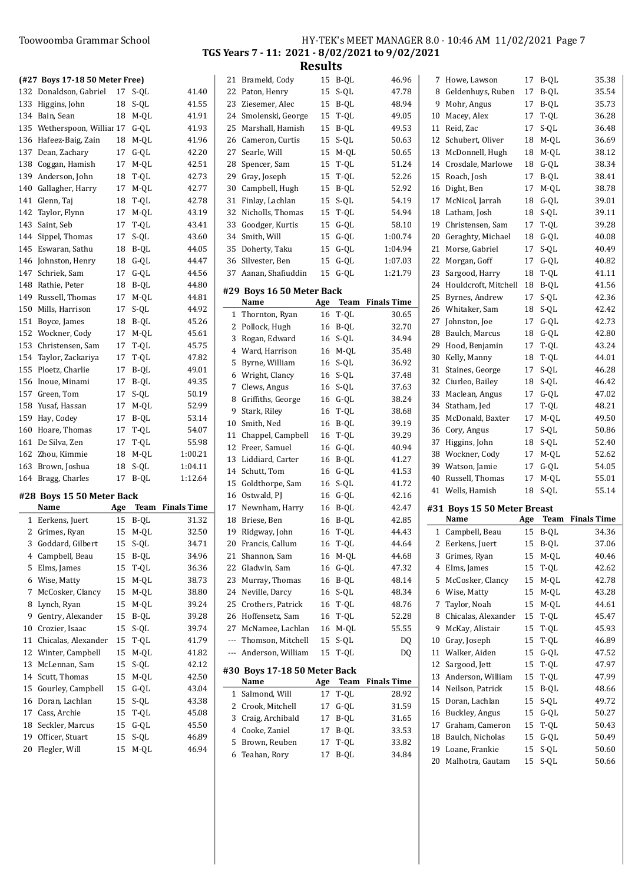#### Toowoomba Grammar School

|                                                 |  |  | HY-TEK's MEET MANAGER 8.0 - 10:46 AM 11/02/2021 Page 7 |  |
|-------------------------------------------------|--|--|--------------------------------------------------------|--|
| TGS Years 7 - 11: 2021 - 8/02/2021 to 9/02/2021 |  |  |                                                        |  |
|                                                 |  |  |                                                        |  |

|   | (#27 Boys 17-18 50 Meter Free)                |     |                 |                         |     | 21 Brameld, Cody             |     | 15 B-QL | 46.96                   |
|---|-----------------------------------------------|-----|-----------------|-------------------------|-----|------------------------------|-----|---------|-------------------------|
|   | 132 Donaldson, Gabriel                        |     | 17 S-QL         | 41.40                   |     | 22 Paton, Henry              | 15  | S-QL    | 47.78                   |
|   | 133 Higgins, John                             |     | 18 S-QL         | 41.55                   |     | 23 Ziesemer, Alec            |     | 15 B-QL | 48.94                   |
|   | 134 Bain, Sean                                |     | 18 M-QL         | 41.91                   |     | 24 Smolenski, George         | 15  | T-QL    | 49.05                   |
|   | 135 Wetherspoon, Williar 17 G-QL              |     |                 | 41.93                   | 25  | Marshall, Hamish             | 15  | B-QL    | 49.53                   |
|   | 136 Hafeez-Baig, Zain                         |     | 18 M-QL         | 41.96                   | 26  | Cameron, Curtis              | 15  | S-QL    | 50.63                   |
|   | 137 Dean, Zachary                             |     | 17 G-QL         | 42.20                   | 27  | Searle, Will                 | 15  | M-QL    | 50.65                   |
|   | 138 Coggan, Hamish                            |     | 17 M-QL         | 42.51                   | 28  | Spencer, Sam                 | 15  | T-QL    | 51.24                   |
|   | 139 Anderson, John                            |     | 18 T-QL         | 42.73                   | 29  | Gray, Joseph                 | 15  | T-QL    | 52.26                   |
|   | 140 Gallagher, Harry                          | 17  | M-QL            | 42.77                   | 30  | Campbell, Hugh               |     | 15 B-QL | 52.92                   |
|   | 141 Glenn, Taj                                |     | 18 T-QL         | 42.78                   |     | 31 Finlay, Lachlan           | 15  | S-QL    | 54.19                   |
|   | 142 Taylor, Flynn                             |     | 17 M-QL         | 43.19                   |     | 32 Nicholls, Thomas          |     | 15 T-QL | 54.94                   |
|   | 143 Saint, Seb                                | 17  | T-QL            | 43.41                   | 33  | Goodger, Kurtis              |     | 15 G-QL | 58.10                   |
|   | 144 Sippel, Thomas                            | 17  | S-QL            | 43.60                   | 34  | Smith, Will                  |     | 15 G-QL | 1:00.74                 |
|   | 145 Eswaran, Sathu                            |     | 18 B-QL         | 44.05                   |     | 35 Doherty, Taku             |     | 15 G-QL | 1:04.94                 |
|   | 146 Johnston, Henry                           |     | 18 G-QL         | 44.47                   |     | 36 Silvester, Ben            |     | 15 G-QL | 1:07.03                 |
|   | 147 Schriek, Sam                              |     | 17 G-QL         | 44.56                   |     | 37 Aanan, Shafiuddin         |     | 15 G-QL | 1:21.79                 |
|   | 148 Rathie, Peter                             |     | 18 B-QL         | 44.80                   |     |                              |     |         |                         |
|   | 149 Russell, Thomas                           |     | 17 M-QL         | 44.81                   |     | #29 Boys 16 50 Meter Back    |     |         |                         |
|   | 150 Mills, Harrison                           |     | 17 S-QL         | 44.92                   |     | Name                         | Age |         | <b>Team</b> Finals Time |
|   | 151 Boyce, James                              |     | 18 B-QL         | 45.26                   |     | 1 Thornton, Ryan             |     | 16 T-QL | 30.65                   |
|   | 152 Wockner, Cody                             |     |                 | 45.61                   |     | 2 Pollock, Hugh              |     | 16 B-QL | 32.70                   |
|   |                                               |     | 17 M-QL         |                         |     | 3 Rogan, Edward              |     | 16 S-QL | 34.94                   |
|   | 153 Christensen, Sam<br>154 Taylor, Zackariya | 17  | T-QL<br>17 T-QL | 45.75                   |     | 4 Ward, Harrison             |     | 16 M-QL | 35.48                   |
|   |                                               |     |                 | 47.82                   |     | 5 Byrne, William             |     | 16 S-QL | 36.92                   |
|   | 155 Ploetz, Charlie                           |     | 17 B-QL         | 49.01                   |     | 6 Wright, Clancy             |     | 16 S-QL | 37.48                   |
|   | 156 Inoue, Minami                             |     | 17 B-QL         | 49.35                   | 7   | Clews, Angus                 |     | 16 S-QL | 37.63                   |
|   | 157 Green, Tom                                |     | 17 S-QL         | 50.19                   |     | 8 Griffiths, George          |     | 16 G-QL | 38.24                   |
|   | 158 Yusaf, Hassan                             | 17  | M-QL            | 52.99                   | 9   | Stark, Riley                 |     | 16 T-QL | 38.68                   |
|   | 159 Hay, Codey                                | 17  | B-QL            | 53.14                   | 10  | Smith, Ned                   |     | 16 B-QL | 39.19                   |
|   | 160 Hoare, Thomas                             | 17  | T-QL            | 54.07                   |     | 11 Chappel, Campbell         |     | 16 T-QL | 39.29                   |
|   | 161 De Silva, Zen                             | 17  | T-QL            | 55.98                   |     | 12 Freer, Samuel             |     | 16 G-QL | 40.94                   |
|   | 162 Zhou, Kimmie                              | 18  | M-QL            | 1:00.21                 |     | 13 Liddiard, Carter          |     | 16 B-QL | 41.27                   |
|   | 163 Brown, Joshua                             |     | 18 S-QL         | 1:04.11                 |     | 14 Schutt, Tom               |     | 16 G-QL | 41.53                   |
|   | 164 Bragg, Charles                            |     | 17 B-QL         | 1:12.64                 |     | 15 Goldthorpe, Sam           |     | 16 S-QL | 41.72                   |
|   | #28 Boys 15 50 Meter Back                     |     |                 |                         |     | 16 Ostwald, PJ               |     | 16 G-QL | 42.16                   |
|   | Name                                          | Age |                 | <b>Team</b> Finals Time | 17  | Newnham, Harry               |     | 16 B-QL | 42.47                   |
|   | 1 Eerkens, Juert                              |     | 15 B-QL         | 31.32                   |     | 18 Briese, Ben               |     | 16 B-QL | 42.85                   |
|   | 2 Grimes, Ryan                                |     | 15 M-QL         | 32.50                   |     | 19 Ridgway, John             |     | 16 T-QL | 44.43                   |
|   | 3 Goddard, Gilbert                            |     | 15 S-QL         | 34.71                   |     | 20 Francis, Callum           |     | 16 T-QL | 44.64                   |
|   | 4 Campbell, Beau                              |     | 15 B-QL         | 34.96                   |     | 21 Shannon, Sam              |     | 16 M-QL | 44.68                   |
|   | 5 Elms, James                                 |     | 15 T-QL         | 36.36                   |     | 22 Gladwin, Sam              |     | 16 G-QL | 47.32                   |
|   | 6 Wise, Matty                                 |     | 15 M-QL         | 38.73                   | 23  | Murray, Thomas               |     | 16 B-QL | 48.14                   |
|   | 7 McCosker, Clancy                            |     | 15 M-QL         | 38.80                   |     | 24 Neville, Darcy            |     | 16 S-QL | 48.34                   |
|   | 8 Lynch, Ryan                                 |     | 15 M-QL         | 39.24                   |     | 25 Crothers, Patrick         |     | 16 T-QL | 48.76                   |
| 9 | Gentry, Alexander                             |     | 15 B-QL         | 39.28                   |     | 26 Hoffensetz, Sam           |     | 16 T-QL | 52.28                   |
|   | 10 Crozier, Isaac                             |     | 15 S-QL         | 39.74                   | 27  | McNamee, Lachlan             |     | 16 M-QL | 55.55                   |
|   | 11 Chicalas, Alexander                        |     | 15 T-QL         | 41.79                   | --- | Thomson, Mitchell            |     | 15 S-QL | DQ                      |
|   | 12 Winter, Campbell                           |     | 15 M-QL         | 41.82                   | --- | Anderson, William            |     | 15 T-QL | DQ                      |
|   | 13 McLennan, Sam                              |     | 15 S-QL         | 42.12                   |     |                              |     |         |                         |
|   | 14 Scutt, Thomas                              |     | 15 M-QL         | 42.50                   |     | #30 Boys 17-18 50 Meter Back |     |         |                         |
|   | 15 Gourley, Campbell                          |     | 15 G-QL         | 43.04                   |     | Name                         | Age |         | <b>Team</b> Finals Time |
|   | 16 Doran, Lachlan                             |     | 15 S-QL         | 43.38                   |     | 1 Salmond, Will              | 17  | T-QL    | 28.92                   |
|   | 17 Cass, Archie                               |     | 15 T-QL         | 45.08                   |     | 2 Crook, Mitchell            |     | 17 G-QL | 31.59                   |
|   | 18 Seckler, Marcus                            |     | 15 G-QL         | 45.50                   | 3   | Craig, Archibald             |     | 17 B-QL | 31.65                   |
|   | 19 Officer, Stuart                            |     | 15 S-QL         | 46.89                   | 4   | Cooke, Zaniel                |     | 17 B-QL | 33.53                   |
|   | 20 Flegler, Will                              |     | 15 M-QL         | 46.94                   | 5   | Brown, Reuben                |     | 17 T-QL | 33.82                   |
|   |                                               |     |                 |                         |     | 6 Teahan, Rory               |     | 17 B-QL | 34.84                   |

| 7  | Howe, Lawson                        | 17        | B-QL                   | 35.38              |
|----|-------------------------------------|-----------|------------------------|--------------------|
| 8  | Geldenhuys, Ruben                   | 17        | B-QL                   | 35.54              |
| 9  | Mohr, Angus                         | 17        | B-QL                   | 35.73              |
| 10 | Macey, Alex                         | 17        | T-QL                   | 36.28              |
| 11 | Reid, Zac                           | 17        | S-QL                   | 36.48              |
| 12 | Schubert, Oliver                    | 18        | M-QL                   | 36.69              |
| 13 | McDonnell, Hugh                     | 18        | M-QL                   | 38.12              |
| 14 | Crosdale, Marlowe                   | 18        | $G-QL$                 | 38.34              |
| 15 | Roach, Josh                         | 17        | B-QL                   | 38.41              |
| 16 | Dight, Ben                          | 17        | M-QL                   | 38.78              |
| 17 | McNicol, Jarrah                     | 18        | G-QL                   | 39.01              |
| 18 | Latham, Josh                        | 18        | S-QL                   | 39.11              |
| 19 | Christensen, Sam                    | 17        | T-QL                   | 39.28              |
| 20 | Geraghty, Michael                   | 18        | $G-QL$                 | 40.08              |
| 21 | Morse, Gabriel                      | 17        | S-QL                   | 40.49              |
| 22 | Morgan, Goff                        | 17        | $G-QL$                 | 40.82              |
| 23 | Sargood, Harry                      | 18        | T-QL                   | 41.11              |
| 24 | Houldcroft, Mitchell                | 18        | B-QL                   | 41.56              |
| 25 | Byrnes, Andrew                      | 17        | S-QL                   | 42.36              |
| 26 | Whitaker, Sam                       | 18        | S-QL                   | 42.42              |
| 27 | Johnston, Joe                       | 17        | G-QL                   | 42.73              |
| 28 | Baulch, Marcus                      | 18        | G-QL                   | 42.80              |
| 29 | Hood, Benjamin                      | 17        | $\mbox{T-QL}$          | 43.24              |
| 30 | Kelly, Manny                        | 18        | T-QL                   | 44.01              |
| 31 | Staines, George                     | 17        | $S-QL$                 | 46.28              |
| 32 | Ciurleo, Bailey                     | 18        | S-QL                   | 46.42              |
| 33 | Maclean, Angus                      | 17        | $G-QL$                 | 47.02              |
| 34 | Statham, Jed                        | 17        | $T\text{-}\mathrm{QL}$ | 48.21              |
|    |                                     | 17        | M-QL                   | 49.50              |
| 35 | McDonald, Baxter                    |           |                        |                    |
| 36 | Cory, Angus                         | 17        | S-QL                   | 50.86              |
| 37 | Higgins, John                       | 18        | S-QL                   |                    |
| 38 | Wockner, Cody                       | 17        | M-QL                   | 52.40<br>52.62     |
| 39 | Watson, Jamie                       | 17        | $G-QL$                 | 54.05              |
| 40 | Russell, Thomas                     | 17        | M-QL                   | 55.01              |
| 41 | Wells, Hamish                       | 18        | S-QL                   | 55.14              |
|    |                                     |           |                        |                    |
|    | #31 Boys 15 50 Meter Breast<br>Name |           | Team                   | <b>Finals Time</b> |
| 1  |                                     | Age<br>15 |                        | 34.36              |
|    | Campbell, Beau                      | 15        | B-QL                   |                    |
| 3  | 2 Eerkens, Juert                    |           | B-QL                   | 37.06<br>40.46     |
| 4  | Grimes, Ryan<br>Elms, James         | 15<br>15  | M-QL<br>T-QL           | 42.62              |
| 5  | McCosker, Clancy                    | 15        | M-QL                   | 42.78              |
| 6  | Wise, Matty                         | 15        |                        | 43.28              |
| 7  | Taylor, Noah                        | 15        | $M-QL$<br>M-QL         | 44.61              |
| 8  | Chicalas, Alexander                 | 15        | T-QL                   | 45.47              |
| 9  | McKay, Alistair                     | 15        |                        | 45.93              |
| 10 | Gray, Joseph                        | 15        | $\mbox{T-QL}$<br>T-QL  | 46.89              |
| 11 | Walker, Aiden                       | 15        | $G-QL$                 | 47.52              |
| 12 | Sargood, Jett                       | 15        | T-QL                   | 47.97              |
| 13 | Anderson, William                   | 15        | T-QL                   | 47.99              |
| 14 | Neilson, Patrick                    | 15        | B-QL                   | 48.66              |
| 15 | Doran, Lachlan                      | 15        | S-QL                   | 49.72              |
| 16 | Buckley, Angus                      | 15        | G-QL                   | 50.27              |
| 17 | Graham, Cameron                     | 15        | T-QL                   | 50.43              |
| 18 | Baulch, Nicholas                    | 15        | G-QL                   | 50.49              |
| 19 | Loane, Frankie                      | 15        | S-QL                   | 50.60              |